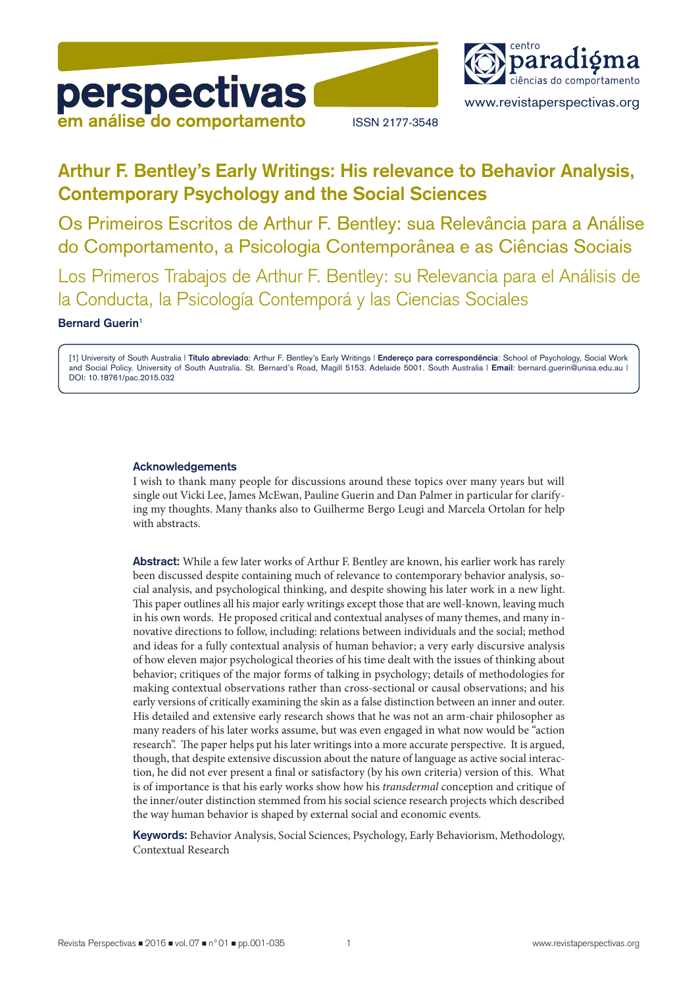



www.revistaperspectivas.org

# **Arthur F. Bentley's Early Writings: His relevance to Behavior Analysis, Contemporary Psychology and the Social Sciences**

Os Primeiros Escritos de Arthur F. Bentley: sua Relevância para a Análise do Comportamento, a Psicologia Contemporânea e as Ciências Sociais

Los Primeros Trabajos de Arthur F. Bentley: su Relevancia para el Análisis de la Conducta, la Psicología Contemporá y las Ciencias Sociales

#### **Bernard Guerin**1

[1] University of South Australia | **Título abreviado**: Arthur F. Bentley's Early Writings | **Endereço para correspondência**: School of Psychology, Social Work and Social Policy. University of South Australia. St. Bernard's Road, Magill 5153. Adelaide 5001. South Australia | **Email**: bernard.guerin@unisa.edu.au | DOI: 10.18761/pac.2015.032

#### **Acknowledgements**

I wish to thank many people for discussions around these topics over many years but will single out Vicki Lee, James McEwan, Pauline Guerin and Dan Palmer in particular for clarifying my thoughts. Many thanks also to Guilherme Bergo Leugi and Marcela Ortolan for help with abstracts.

**Abstract:** While a few later works of Arthur F. Bentley are known, his earlier work has rarely been discussed despite containing much of relevance to contemporary behavior analysis, social analysis, and psychological thinking, and despite showing his later work in a new light. This paper outlines all his major early writings except those that are well-known, leaving much in his own words. He proposed critical and contextual analyses of many themes, and many innovative directions to follow, including: relations between individuals and the social; method and ideas for a fully contextual analysis of human behavior; a very early discursive analysis of how eleven major psychological theories of his time dealt with the issues of thinking about behavior; critiques of the major forms of talking in psychology; details of methodologies for making contextual observations rather than cross-sectional or causal observations; and his early versions of critically examining the skin as a false distinction between an inner and outer. His detailed and extensive early research shows that he was not an arm-chair philosopher as many readers of his later works assume, but was even engaged in what now would be "action research". The paper helps put his later writings into a more accurate perspective. It is argued, though, that despite extensive discussion about the nature of language as active social interaction, he did not ever present a final or satisfactory (by his own criteria) version of this. What is of importance is that his early works show how his *transdermal* conception and critique of the inner/outer distinction stemmed from his social science research projects which described the way human behavior is shaped by external social and economic events.

**Keywords:** Behavior Analysis, Social Sciences, Psychology, Early Behaviorism, Methodology, Contextual Research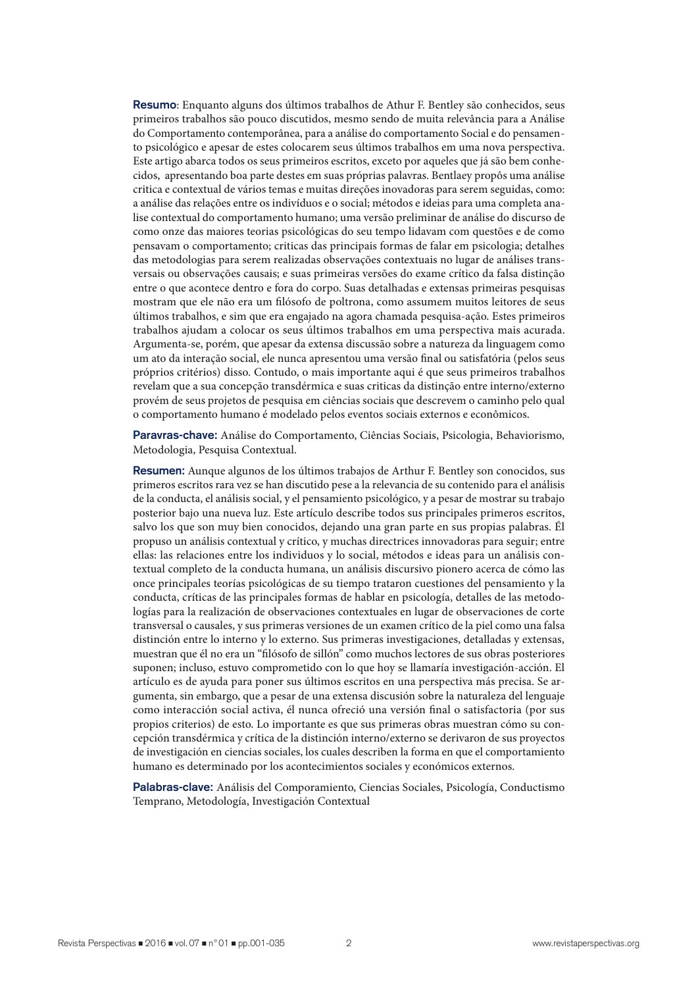**Resumo**: Enquanto alguns dos últimos trabalhos de Athur F. Bentley são conhecidos, seus primeiros trabalhos são pouco discutidos, mesmo sendo de muita relevância para a Análise do Comportamento contemporânea, para a análise do comportamento Social e do pensamento psicológico e apesar de estes colocarem seus últimos trabalhos em uma nova perspectiva. Este artigo abarca todos os seus primeiros escritos, exceto por aqueles que já são bem conhecidos, apresentando boa parte destes em suas próprias palavras. Bentlaey propôs uma análise critica e contextual de vários temas e muitas direções inovadoras para serem seguidas, como: a análise das relações entre os indivíduos e o social; métodos e ideias para uma completa analise contextual do comportamento humano; uma versão preliminar de análise do discurso de como onze das maiores teorias psicológicas do seu tempo lidavam com questões e de como pensavam o comportamento; criticas das principais formas de falar em psicologia; detalhes das metodologias para serem realizadas observações contextuais no lugar de análises transversais ou observações causais; e suas primeiras versões do exame crítico da falsa distinção entre o que acontece dentro e fora do corpo. Suas detalhadas e extensas primeiras pesquisas mostram que ele não era um filósofo de poltrona, como assumem muitos leitores de seus últimos trabalhos, e sim que era engajado na agora chamada pesquisa-ação. Estes primeiros trabalhos ajudam a colocar os seus últimos trabalhos em uma perspectiva mais acurada. Argumenta-se, porém, que apesar da extensa discussão sobre a natureza da linguagem como um ato da interação social, ele nunca apresentou uma versão final ou satisfatória (pelos seus próprios critérios) disso. Contudo, o mais importante aqui é que seus primeiros trabalhos revelam que a sua concepção transdérmica e suas criticas da distinção entre interno/externo provém de seus projetos de pesquisa em ciências sociais que descrevem o caminho pelo qual o comportamento humano é modelado pelos eventos sociais externos e econômicos.

**Paravras-chave:** Análise do Comportamento, Ciências Sociais, Psicologia, Behaviorismo, Metodologia, Pesquisa Contextual.

**Resumen:** Aunque algunos de los últimos trabajos de Arthur F. Bentley son conocidos, sus primeros escritos rara vez se han discutido pese a la relevancia de su contenido para el análisis de la conducta, el análisis social, y el pensamiento psicológico, y a pesar de mostrar su trabajo posterior bajo una nueva luz. Este artículo describe todos sus principales primeros escritos, salvo los que son muy bien conocidos, dejando una gran parte en sus propias palabras. Él propuso un análisis contextual y crítico, y muchas directrices innovadoras para seguir; entre ellas: las relaciones entre los individuos y lo social, métodos e ideas para un análisis contextual completo de la conducta humana, un análisis discursivo pionero acerca de cómo las once principales teorías psicológicas de su tiempo trataron cuestiones del pensamiento y la conducta, críticas de las principales formas de hablar en psicología, detalles de las metodologías para la realización de observaciones contextuales en lugar de observaciones de corte transversal o causales, y sus primeras versiones de un examen crítico de la piel como una falsa distinción entre lo interno y lo externo. Sus primeras investigaciones, detalladas y extensas, muestran que él no era un "filósofo de sillón" como muchos lectores de sus obras posteriores suponen; incluso, estuvo comprometido con lo que hoy se llamaría investigación-acción. El artículo es de ayuda para poner sus últimos escritos en una perspectiva más precisa. Se argumenta, sin embargo, que a pesar de una extensa discusión sobre la naturaleza del lenguaje como interacción social activa, él nunca ofreció una versión final o satisfactoria (por sus propios criterios) de esto. Lo importante es que sus primeras obras muestran cómo su concepción transdérmica y crítica de la distinción interno/externo se derivaron de sus proyectos de investigación en ciencias sociales, los cuales describen la forma en que el comportamiento humano es determinado por los acontecimientos sociales y económicos externos.

**Palabras-clave:** Análisis del Comporamiento, Ciencias Sociales, Psicología, Conductismo Temprano, Metodología, Investigación Contextual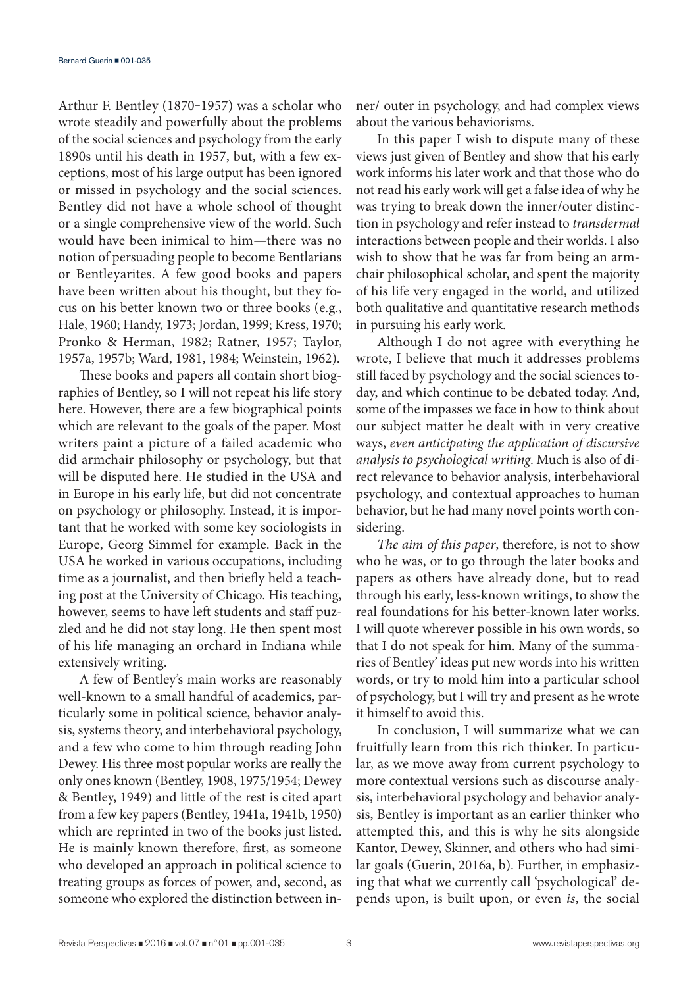Arthur F. Bentley (1870-1957) was a scholar who wrote steadily and powerfully about the problems of the social sciences and psychology from the early 1890s until his death in 1957, but, with a few exceptions, most of his large output has been ignored or missed in psychology and the social sciences. Bentley did not have a whole school of thought or a single comprehensive view of the world. Such would have been inimical to him—there was no notion of persuading people to become Bentlarians or Bentleyarites. A few good books and papers have been written about his thought, but they focus on his better known two or three books (e.g., Hale, 1960; Handy, 1973; Jordan, 1999; Kress, 1970; Pronko & Herman, 1982; Ratner, 1957; Taylor, 1957a, 1957b; Ward, 1981, 1984; Weinstein, 1962).

These books and papers all contain short biographies of Bentley, so I will not repeat his life story here. However, there are a few biographical points which are relevant to the goals of the paper. Most writers paint a picture of a failed academic who did armchair philosophy or psychology, but that will be disputed here. He studied in the USA and in Europe in his early life, but did not concentrate on psychology or philosophy. Instead, it is important that he worked with some key sociologists in Europe, Georg Simmel for example. Back in the USA he worked in various occupations, including time as a journalist, and then briefly held a teaching post at the University of Chicago. His teaching, however, seems to have left students and staff puzzled and he did not stay long. He then spent most of his life managing an orchard in Indiana while extensively writing.

A few of Bentley's main works are reasonably well-known to a small handful of academics, particularly some in political science, behavior analysis, systems theory, and interbehavioral psychology, and a few who come to him through reading John Dewey. His three most popular works are really the only ones known (Bentley, 1908, 1975/1954; Dewey & Bentley, 1949) and little of the rest is cited apart from a few key papers (Bentley, 1941a, 1941b, 1950) which are reprinted in two of the books just listed. He is mainly known therefore, first, as someone who developed an approach in political science to treating groups as forces of power, and, second, as someone who explored the distinction between inner/ outer in psychology, and had complex views about the various behaviorisms.

In this paper I wish to dispute many of these views just given of Bentley and show that his early work informs his later work and that those who do not read his early work will get a false idea of why he was trying to break down the inner/outer distinction in psychology and refer instead to *transdermal* interactions between people and their worlds. I also wish to show that he was far from being an armchair philosophical scholar, and spent the majority of his life very engaged in the world, and utilized both qualitative and quantitative research methods in pursuing his early work.

Although I do not agree with everything he wrote, I believe that much it addresses problems still faced by psychology and the social sciences today, and which continue to be debated today. And, some of the impasses we face in how to think about our subject matter he dealt with in very creative ways, *even anticipating the application of discursive analysis to psychological writing*. Much is also of direct relevance to behavior analysis, interbehavioral psychology, and contextual approaches to human behavior, but he had many novel points worth considering.

*The aim of this paper*, therefore, is not to show who he was, or to go through the later books and papers as others have already done, but to read through his early, less-known writings, to show the real foundations for his better-known later works. I will quote wherever possible in his own words, so that I do not speak for him. Many of the summaries of Bentley' ideas put new words into his written words, or try to mold him into a particular school of psychology, but I will try and present as he wrote it himself to avoid this.

In conclusion, I will summarize what we can fruitfully learn from this rich thinker. In particular, as we move away from current psychology to more contextual versions such as discourse analysis, interbehavioral psychology and behavior analysis, Bentley is important as an earlier thinker who attempted this, and this is why he sits alongside Kantor, Dewey, Skinner, and others who had similar goals (Guerin, 2016a, b). Further, in emphasizing that what we currently call 'psychological' depends upon, is built upon, or even *is*, the social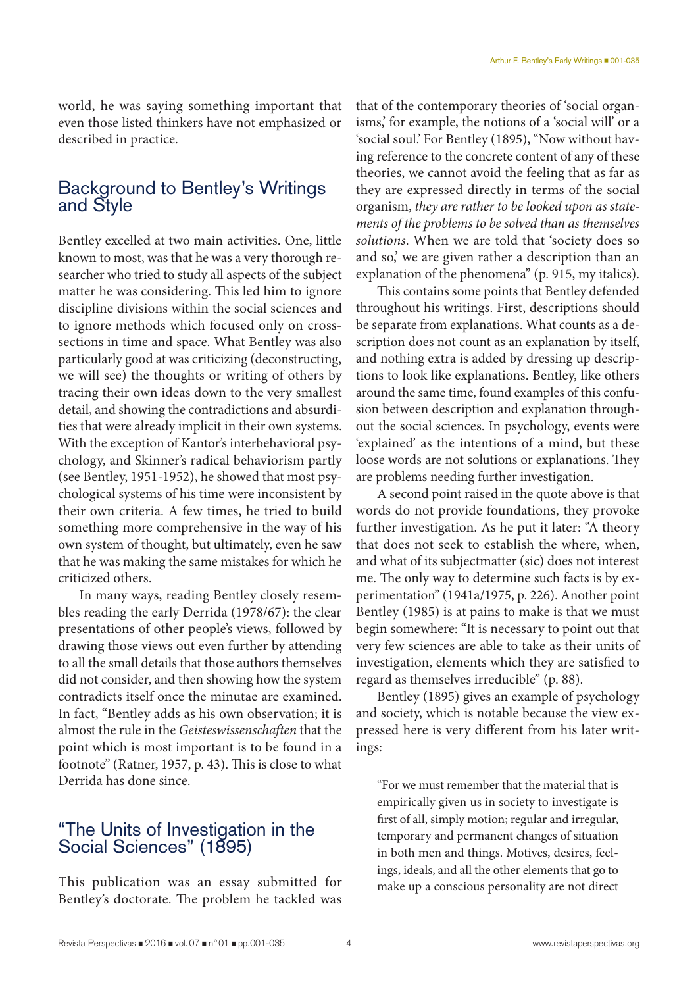world, he was saying something important that even those listed thinkers have not emphasized or described in practice.

# Background to Bentley's Writings and Style

Bentley excelled at two main activities. One, little known to most, was that he was a very thorough researcher who tried to study all aspects of the subject matter he was considering. This led him to ignore discipline divisions within the social sciences and to ignore methods which focused only on crosssections in time and space. What Bentley was also particularly good at was criticizing (deconstructing, we will see) the thoughts or writing of others by tracing their own ideas down to the very smallest detail, and showing the contradictions and absurdities that were already implicit in their own systems. With the exception of Kantor's interbehavioral psychology, and Skinner's radical behaviorism partly (see Bentley, 1951-1952), he showed that most psychological systems of his time were inconsistent by their own criteria. A few times, he tried to build something more comprehensive in the way of his own system of thought, but ultimately, even he saw that he was making the same mistakes for which he criticized others.

In many ways, reading Bentley closely resembles reading the early Derrida (1978/67): the clear presentations of other people's views, followed by drawing those views out even further by attending to all the small details that those authors themselves did not consider, and then showing how the system contradicts itself once the minutae are examined. In fact, "Bentley adds as his own observation; it is almost the rule in the *Geisteswissenschaften* that the point which is most important is to be found in a footnote" (Ratner, 1957, p. 43). This is close to what Derrida has done since.

# "The Units of Investigation in the Social Sciences" (1895)

This publication was an essay submitted for Bentley's doctorate. The problem he tackled was

that of the contemporary theories of 'social organisms,' for example, the notions of a 'social will' or a 'social soul.' For Bentley (1895), "Now without having reference to the concrete content of any of these theories, we cannot avoid the feeling that as far as they are expressed directly in terms of the social organism, *they are rather to be looked upon as statements of the problems to be solved than as themselves solutions*. When we are told that 'society does so and so,' we are given rather a description than an explanation of the phenomena" (p. 915, my italics).

This contains some points that Bentley defended throughout his writings. First, descriptions should be separate from explanations. What counts as a description does not count as an explanation by itself, and nothing extra is added by dressing up descriptions to look like explanations. Bentley, like others around the same time, found examples of this confusion between description and explanation throughout the social sciences. In psychology, events were 'explained' as the intentions of a mind, but these loose words are not solutions or explanations. They are problems needing further investigation.

A second point raised in the quote above is that words do not provide foundations, they provoke further investigation. As he put it later: "A theory that does not seek to establish the where, when, and what of its subjectmatter (sic) does not interest me. The only way to determine such facts is by experimentation" (1941a/1975, p. 226). Another point Bentley (1985) is at pains to make is that we must begin somewhere: "It is necessary to point out that very few sciences are able to take as their units of investigation, elements which they are satisfied to regard as themselves irreducible" (p. 88).

Bentley (1895) gives an example of psychology and society, which is notable because the view expressed here is very different from his later writings:

"For we must remember that the material that is empirically given us in society to investigate is first of all, simply motion; regular and irregular, temporary and permanent changes of situation in both men and things. Motives, desires, feelings, ideals, and all the other elements that go to make up a conscious personality are not direct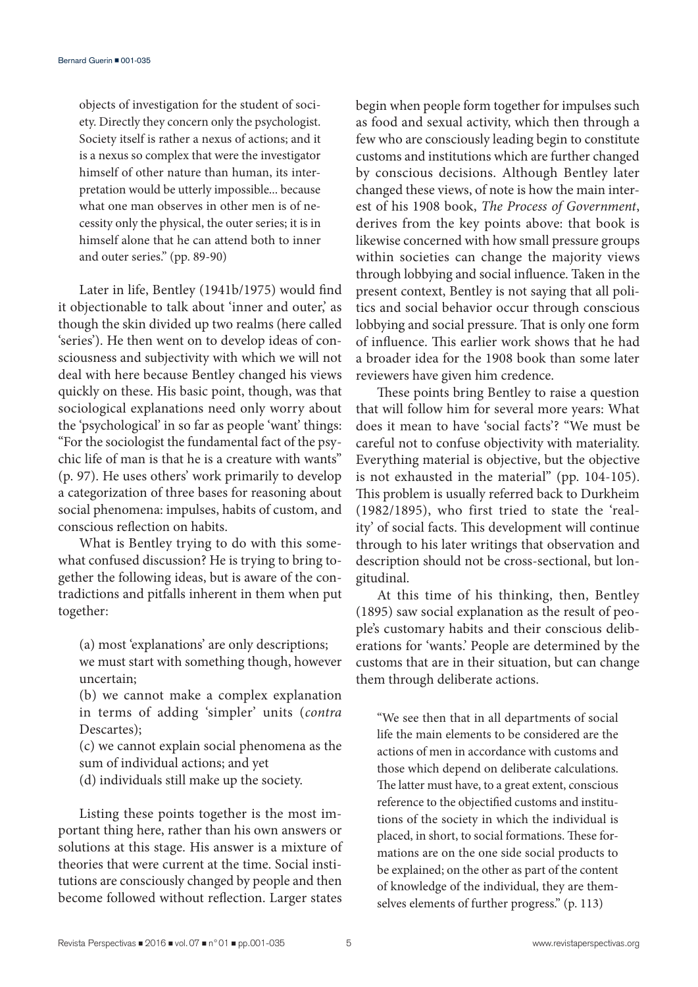objects of investigation for the student of society. Directly they concern only the psychologist. Society itself is rather a nexus of actions; and it is a nexus so complex that were the investigator himself of other nature than human, its interpretation would be utterly impossible... because what one man observes in other men is of necessity only the physical, the outer series; it is in himself alone that he can attend both to inner and outer series." (pp. 89-90)

Later in life, Bentley (1941b/1975) would find it objectionable to talk about 'inner and outer,' as though the skin divided up two realms (here called 'series'). He then went on to develop ideas of consciousness and subjectivity with which we will not deal with here because Bentley changed his views quickly on these. His basic point, though, was that sociological explanations need only worry about the 'psychological' in so far as people 'want' things: "For the sociologist the fundamental fact of the psychic life of man is that he is a creature with wants" (p. 97). He uses others' work primarily to develop a categorization of three bases for reasoning about social phenomena: impulses, habits of custom, and conscious reflection on habits.

What is Bentley trying to do with this somewhat confused discussion? He is trying to bring together the following ideas, but is aware of the contradictions and pitfalls inherent in them when put together:

(a) most 'explanations' are only descriptions; we must start with something though, however uncertain;

(b) we cannot make a complex explanation in terms of adding 'simpler' units (*contra* Descartes);

(c) we cannot explain social phenomena as the sum of individual actions; and yet

(d) individuals still make up the society.

Listing these points together is the most important thing here, rather than his own answers or solutions at this stage. His answer is a mixture of theories that were current at the time. Social institutions are consciously changed by people and then become followed without reflection. Larger states

begin when people form together for impulses such as food and sexual activity, which then through a few who are consciously leading begin to constitute customs and institutions which are further changed by conscious decisions. Although Bentley later changed these views, of note is how the main interest of his 1908 book, *The Process of Government*, derives from the key points above: that book is likewise concerned with how small pressure groups within societies can change the majority views through lobbying and social influence. Taken in the present context, Bentley is not saying that all politics and social behavior occur through conscious lobbying and social pressure. That is only one form of influence. This earlier work shows that he had a broader idea for the 1908 book than some later reviewers have given him credence.

These points bring Bentley to raise a question that will follow him for several more years: What does it mean to have 'social facts'? "We must be careful not to confuse objectivity with materiality. Everything material is objective, but the objective is not exhausted in the material" (pp. 104-105). This problem is usually referred back to Durkheim (1982/1895), who first tried to state the 'reality' of social facts. This development will continue through to his later writings that observation and description should not be cross-sectional, but longitudinal.

At this time of his thinking, then, Bentley (1895) saw social explanation as the result of people's customary habits and their conscious deliberations for 'wants.' People are determined by the customs that are in their situation, but can change them through deliberate actions.

"We see then that in all departments of social life the main elements to be considered are the actions of men in accordance with customs and those which depend on deliberate calculations. The latter must have, to a great extent, conscious reference to the objectified customs and institutions of the society in which the individual is placed, in short, to social formations. These formations are on the one side social products to be explained; on the other as part of the content of knowledge of the individual, they are themselves elements of further progress." (p. 113)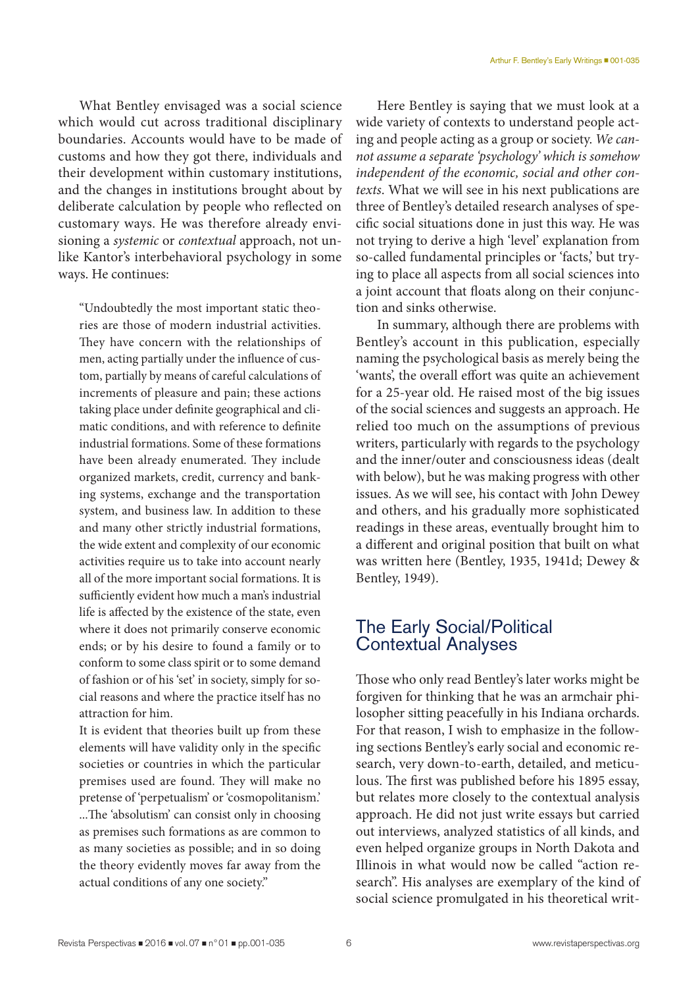What Bentley envisaged was a social science which would cut across traditional disciplinary boundaries. Accounts would have to be made of customs and how they got there, individuals and their development within customary institutions, and the changes in institutions brought about by deliberate calculation by people who reflected on customary ways. He was therefore already envisioning a *systemic* or *contextual* approach, not unlike Kantor's interbehavioral psychology in some ways. He continues:

"Undoubtedly the most important static theories are those of modern industrial activities. They have concern with the relationships of men, acting partially under the influence of custom, partially by means of careful calculations of increments of pleasure and pain; these actions taking place under definite geographical and climatic conditions, and with reference to definite industrial formations. Some of these formations have been already enumerated. They include organized markets, credit, currency and banking systems, exchange and the transportation system, and business law. In addition to these and many other strictly industrial formations, the wide extent and complexity of our economic activities require us to take into account nearly all of the more important social formations. It is sufficiently evident how much a man's industrial life is affected by the existence of the state, even where it does not primarily conserve economic ends; or by his desire to found a family or to conform to some class spirit or to some demand of fashion or of his 'set' in society, simply for social reasons and where the practice itself has no attraction for him.

It is evident that theories built up from these elements will have validity only in the specific societies or countries in which the particular premises used are found. They will make no pretense of 'perpetualism' or 'cosmopolitanism.' ...The 'absolutism' can consist only in choosing as premises such formations as are common to as many societies as possible; and in so doing the theory evidently moves far away from the actual conditions of any one society."

Here Bentley is saying that we must look at a wide variety of contexts to understand people acting and people acting as a group or society. *We cannot assume a separate 'psychology' which is somehow independent of the economic, social and other contexts*. What we will see in his next publications are three of Bentley's detailed research analyses of specific social situations done in just this way. He was not trying to derive a high 'level' explanation from so-called fundamental principles or 'facts,' but trying to place all aspects from all social sciences into a joint account that floats along on their conjunction and sinks otherwise.

In summary, although there are problems with Bentley's account in this publication, especially naming the psychological basis as merely being the 'wants', the overall effort was quite an achievement for a 25-year old. He raised most of the big issues of the social sciences and suggests an approach. He relied too much on the assumptions of previous writers, particularly with regards to the psychology and the inner/outer and consciousness ideas (dealt with below), but he was making progress with other issues. As we will see, his contact with John Dewey and others, and his gradually more sophisticated readings in these areas, eventually brought him to a different and original position that built on what was written here (Bentley, 1935, 1941d; Dewey & Bentley, 1949).

# The Early Social/Political Contextual Analyses

Those who only read Bentley's later works might be forgiven for thinking that he was an armchair philosopher sitting peacefully in his Indiana orchards. For that reason, I wish to emphasize in the following sections Bentley's early social and economic research, very down-to-earth, detailed, and meticulous. The first was published before his 1895 essay, but relates more closely to the contextual analysis approach. He did not just write essays but carried out interviews, analyzed statistics of all kinds, and even helped organize groups in North Dakota and Illinois in what would now be called "action research". His analyses are exemplary of the kind of social science promulgated in his theoretical writ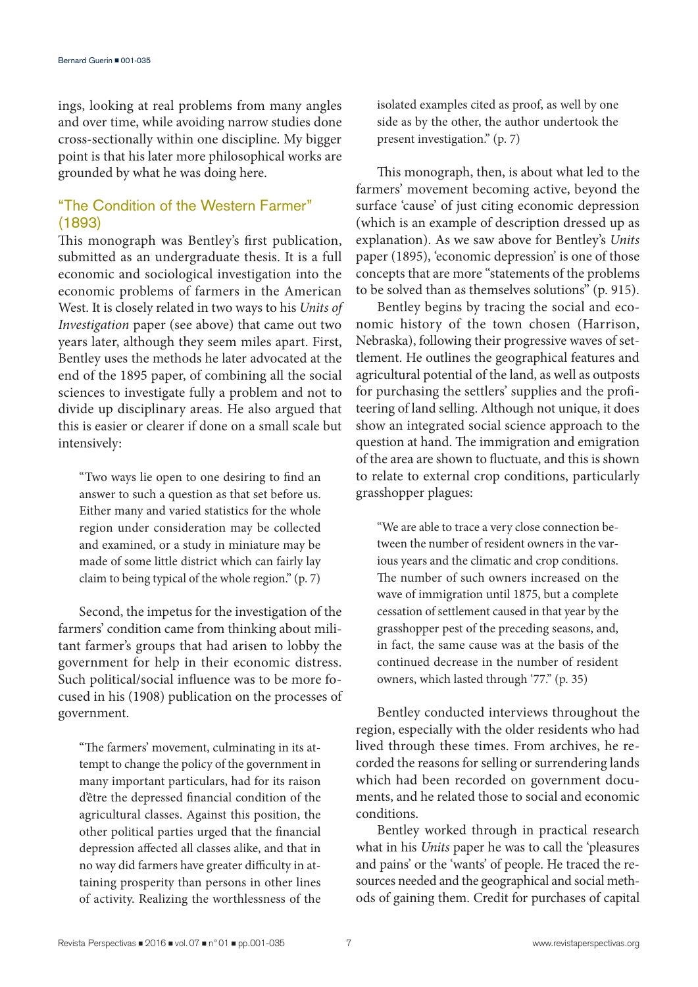ings, looking at real problems from many angles and over time, while avoiding narrow studies done cross-sectionally within one discipline. My bigger point is that his later more philosophical works are grounded by what he was doing here.

## "The Condition of the Western Farmer" (1893)

This monograph was Bentley's first publication, submitted as an undergraduate thesis. It is a full economic and sociological investigation into the economic problems of farmers in the American West. It is closely related in two ways to his *Units of Investigation* paper (see above) that came out two years later, although they seem miles apart. First, Bentley uses the methods he later advocated at the end of the 1895 paper, of combining all the social sciences to investigate fully a problem and not to divide up disciplinary areas. He also argued that this is easier or clearer if done on a small scale but intensively:

"Two ways lie open to one desiring to find an answer to such a question as that set before us. Either many and varied statistics for the whole region under consideration may be collected and examined, or a study in miniature may be made of some little district which can fairly lay claim to being typical of the whole region." (p. 7)

Second, the impetus for the investigation of the farmers' condition came from thinking about militant farmer's groups that had arisen to lobby the government for help in their economic distress. Such political/social influence was to be more focused in his (1908) publication on the processes of government.

"The farmers' movement, culminating in its attempt to change the policy of the government in many important particulars, had for its raison d'être the depressed financial condition of the agricultural classes. Against this position, the other political parties urged that the financial depression affected all classes alike, and that in no way did farmers have greater difficulty in attaining prosperity than persons in other lines of activity. Realizing the worthlessness of the

isolated examples cited as proof, as well by one side as by the other, the author undertook the present investigation." (p. 7)

This monograph, then, is about what led to the farmers' movement becoming active, beyond the surface 'cause' of just citing economic depression (which is an example of description dressed up as explanation). As we saw above for Bentley's *Units* paper (1895), 'economic depression' is one of those concepts that are more "statements of the problems to be solved than as themselves solutions" (p. 915).

Bentley begins by tracing the social and economic history of the town chosen (Harrison, Nebraska), following their progressive waves of settlement. He outlines the geographical features and agricultural potential of the land, as well as outposts for purchasing the settlers' supplies and the profiteering of land selling. Although not unique, it does show an integrated social science approach to the question at hand. The immigration and emigration of the area are shown to fluctuate, and this is shown to relate to external crop conditions, particularly grasshopper plagues:

"We are able to trace a very close connection between the number of resident owners in the various years and the climatic and crop conditions. The number of such owners increased on the wave of immigration until 1875, but a complete cessation of settlement caused in that year by the grasshopper pest of the preceding seasons, and, in fact, the same cause was at the basis of the continued decrease in the number of resident owners, which lasted through '77." (p. 35)

Bentley conducted interviews throughout the region, especially with the older residents who had lived through these times. From archives, he recorded the reasons for selling or surrendering lands which had been recorded on government documents, and he related those to social and economic conditions.

Bentley worked through in practical research what in his *Units* paper he was to call the 'pleasures and pains' or the 'wants' of people. He traced the resources needed and the geographical and social methods of gaining them. Credit for purchases of capital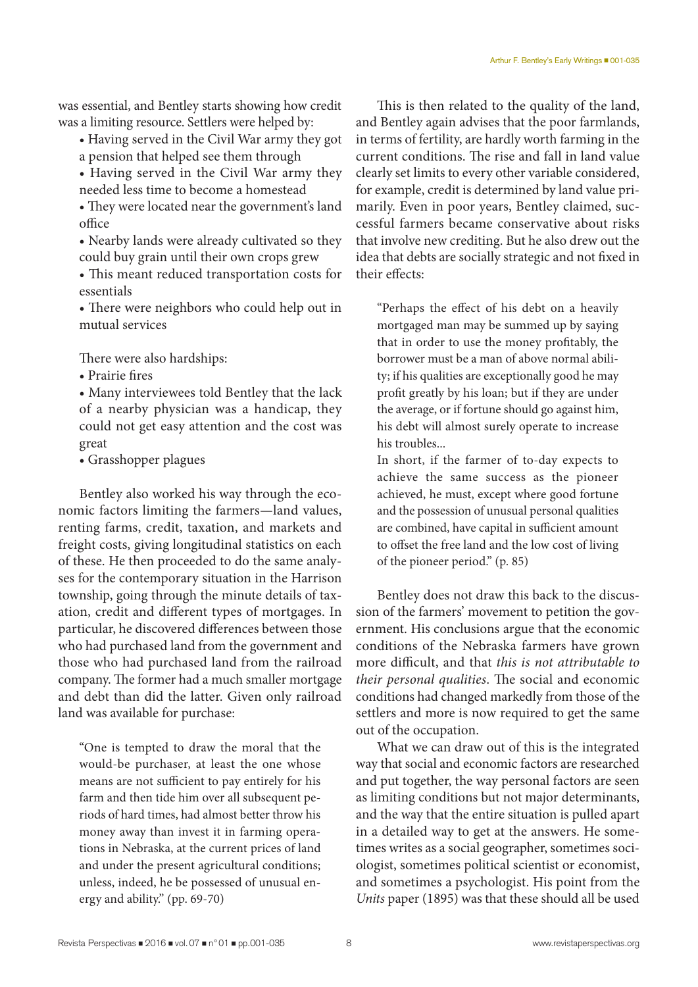was essential, and Bentley starts showing how credit was a limiting resource. Settlers were helped by:

- Having served in the Civil War army they got a pension that helped see them through
- Having served in the Civil War army they needed less time to become a homestead
- They were located near the government's land office
- Nearby lands were already cultivated so they could buy grain until their own crops grew
- This meant reduced transportation costs for essentials
- There were neighbors who could help out in mutual services

There were also hardships:

• Prairie fires

• Many interviewees told Bentley that the lack of a nearby physician was a handicap, they could not get easy attention and the cost was great

• Grasshopper plagues

Bentley also worked his way through the economic factors limiting the farmers—land values, renting farms, credit, taxation, and markets and freight costs, giving longitudinal statistics on each of these. He then proceeded to do the same analyses for the contemporary situation in the Harrison township, going through the minute details of taxation, credit and different types of mortgages. In particular, he discovered differences between those who had purchased land from the government and those who had purchased land from the railroad company. The former had a much smaller mortgage and debt than did the latter. Given only railroad land was available for purchase:

"One is tempted to draw the moral that the would-be purchaser, at least the one whose means are not sufficient to pay entirely for his farm and then tide him over all subsequent periods of hard times, had almost better throw his money away than invest it in farming operations in Nebraska, at the current prices of land and under the present agricultural conditions; unless, indeed, he be possessed of unusual energy and ability." (pp. 69-70)

This is then related to the quality of the land, and Bentley again advises that the poor farmlands, in terms of fertility, are hardly worth farming in the current conditions. The rise and fall in land value clearly set limits to every other variable considered, for example, credit is determined by land value primarily. Even in poor years, Bentley claimed, successful farmers became conservative about risks that involve new crediting. But he also drew out the idea that debts are socially strategic and not fixed in their effects:

"Perhaps the effect of his debt on a heavily mortgaged man may be summed up by saying that in order to use the money profitably, the borrower must be a man of above normal ability; if his qualities are exceptionally good he may profit greatly by his loan; but if they are under the average, or if fortune should go against him, his debt will almost surely operate to increase his troubles...

In short, if the farmer of to-day expects to achieve the same success as the pioneer achieved, he must, except where good fortune and the possession of unusual personal qualities are combined, have capital in sufficient amount to offset the free land and the low cost of living of the pioneer period." (p. 85)

Bentley does not draw this back to the discussion of the farmers' movement to petition the government. His conclusions argue that the economic conditions of the Nebraska farmers have grown more difficult, and that *this is not attributable to their personal qualities*. The social and economic conditions had changed markedly from those of the settlers and more is now required to get the same out of the occupation.

What we can draw out of this is the integrated way that social and economic factors are researched and put together, the way personal factors are seen as limiting conditions but not major determinants, and the way that the entire situation is pulled apart in a detailed way to get at the answers. He sometimes writes as a social geographer, sometimes sociologist, sometimes political scientist or economist, and sometimes a psychologist. His point from the *Units* paper (1895) was that these should all be used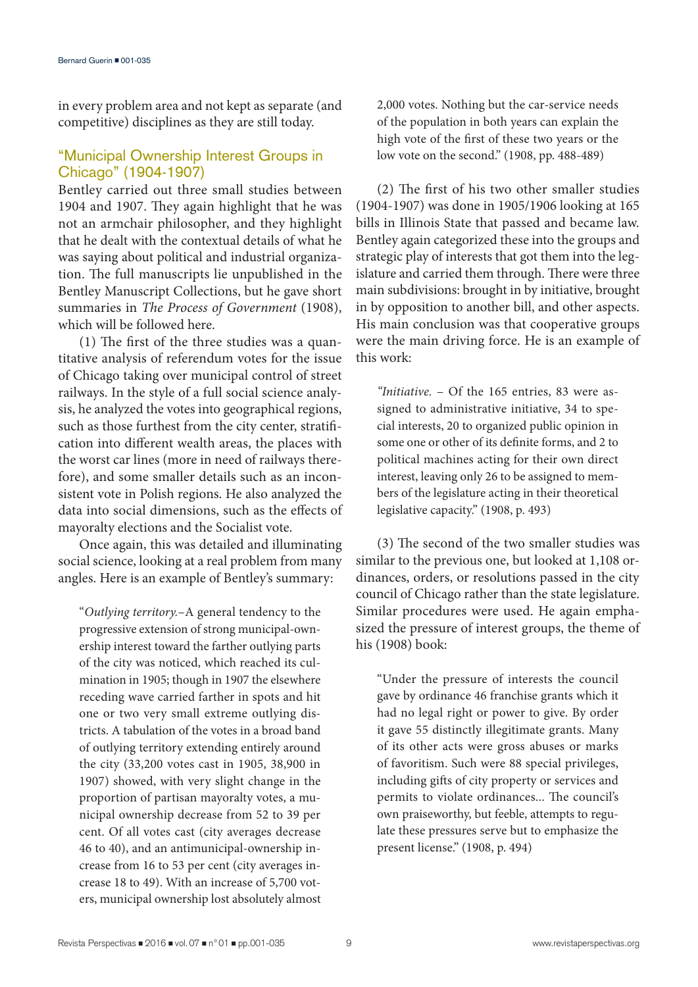in every problem area and not kept as separate (and competitive) disciplines as they are still today.

## "Municipal Ownership Interest Groups in Chicago" (1904-1907)

Bentley carried out three small studies between 1904 and 1907. They again highlight that he was not an armchair philosopher, and they highlight that he dealt with the contextual details of what he was saying about political and industrial organization. The full manuscripts lie unpublished in the Bentley Manuscript Collections, but he gave short summaries in *The Process of Government* (1908), which will be followed here.

(1) The first of the three studies was a quantitative analysis of referendum votes for the issue of Chicago taking over municipal control of street railways. In the style of a full social science analysis, he analyzed the votes into geographical regions, such as those furthest from the city center, stratification into different wealth areas, the places with the worst car lines (more in need of railways therefore), and some smaller details such as an inconsistent vote in Polish regions. He also analyzed the data into social dimensions, such as the effects of mayoralty elections and the Socialist vote.

Once again, this was detailed and illuminating social science, looking at a real problem from many angles. Here is an example of Bentley's summary:

"*Outlying territory.*–A general tendency to the progressive extension of strong municipal-ownership interest toward the farther outlying parts of the city was noticed, which reached its culmination in 1905; though in 1907 the elsewhere receding wave carried farther in spots and hit one or two very small extreme outlying districts. A tabulation of the votes in a broad band of outlying territory extending entirely around the city (33,200 votes cast in 1905, 38,900 in 1907) showed, with very slight change in the proportion of partisan mayoralty votes, a municipal ownership decrease from 52 to 39 per cent. Of all votes cast (city averages decrease 46 to 40), and an antimunicipal-ownership increase from 16 to 53 per cent (city averages increase 18 to 49). With an increase of 5,700 voters, municipal ownership lost absolutely almost 2,000 votes. Nothing but the car-service needs of the population in both years can explain the high vote of the first of these two years or the low vote on the second." (1908, pp. 488-489)

(2) The first of his two other smaller studies (1904-1907) was done in 1905/1906 looking at 165 bills in Illinois State that passed and became law. Bentley again categorized these into the groups and strategic play of interests that got them into the legislature and carried them through. There were three main subdivisions: brought in by initiative, brought in by opposition to another bill, and other aspects. His main conclusion was that cooperative groups were the main driving force. He is an example of this work:

*"Initiative.* – Of the 165 entries, 83 were assigned to administrative initiative, 34 to special interests, 20 to organized public opinion in some one or other of its definite forms, and 2 to political machines acting for their own direct interest, leaving only 26 to be assigned to members of the legislature acting in their theoretical legislative capacity." (1908, p. 493)

(3) The second of the two smaller studies was similar to the previous one, but looked at 1,108 ordinances, orders, or resolutions passed in the city council of Chicago rather than the state legislature. Similar procedures were used. He again emphasized the pressure of interest groups, the theme of his (1908) book:

"Under the pressure of interests the council gave by ordinance 46 franchise grants which it had no legal right or power to give. By order it gave 55 distinctly illegitimate grants. Many of its other acts were gross abuses or marks of favoritism. Such were 88 special privileges, including gifts of city property or services and permits to violate ordinances... The council's own praiseworthy, but feeble, attempts to regulate these pressures serve but to emphasize the present license." (1908, p. 494)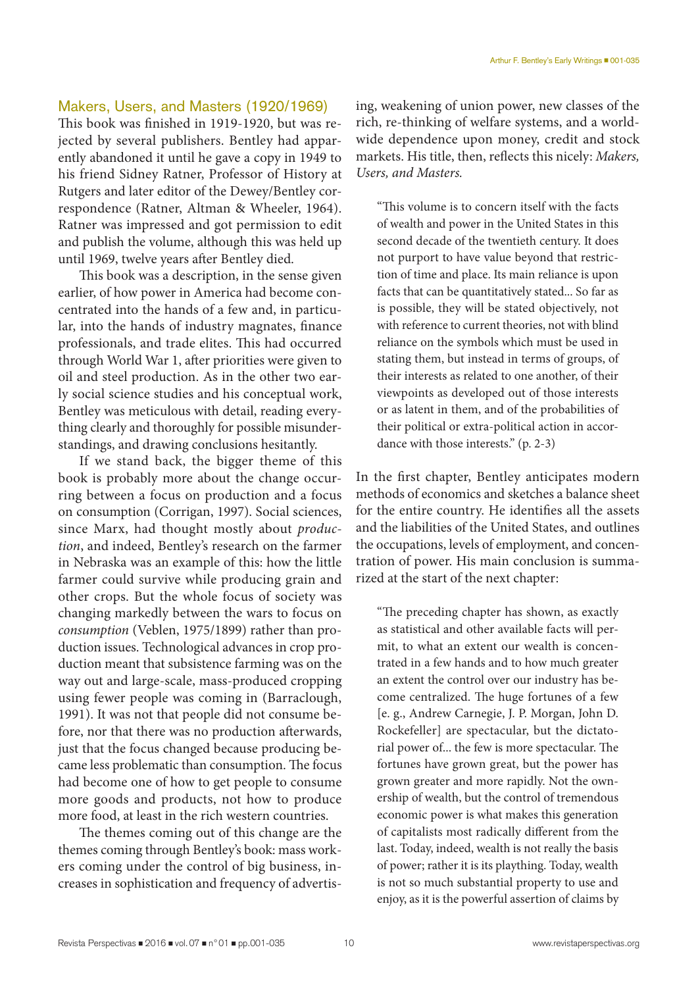### Makers, Users, and Masters (1920/1969)

This book was finished in 1919-1920, but was rejected by several publishers. Bentley had apparently abandoned it until he gave a copy in 1949 to his friend Sidney Ratner, Professor of History at Rutgers and later editor of the Dewey/Bentley correspondence (Ratner, Altman & Wheeler, 1964). Ratner was impressed and got permission to edit and publish the volume, although this was held up until 1969, twelve years after Bentley died.

This book was a description, in the sense given earlier, of how power in America had become concentrated into the hands of a few and, in particular, into the hands of industry magnates, finance professionals, and trade elites. This had occurred through World War 1, after priorities were given to oil and steel production. As in the other two early social science studies and his conceptual work, Bentley was meticulous with detail, reading everything clearly and thoroughly for possible misunderstandings, and drawing conclusions hesitantly.

If we stand back, the bigger theme of this book is probably more about the change occurring between a focus on production and a focus on consumption (Corrigan, 1997). Social sciences, since Marx, had thought mostly about *production*, and indeed, Bentley's research on the farmer in Nebraska was an example of this: how the little farmer could survive while producing grain and other crops. But the whole focus of society was changing markedly between the wars to focus on *consumption* (Veblen, 1975/1899) rather than production issues. Technological advances in crop production meant that subsistence farming was on the way out and large-scale, mass-produced cropping using fewer people was coming in (Barraclough, 1991). It was not that people did not consume before, nor that there was no production afterwards, just that the focus changed because producing became less problematic than consumption. The focus had become one of how to get people to consume more goods and products, not how to produce more food, at least in the rich western countries.

The themes coming out of this change are the themes coming through Bentley's book: mass workers coming under the control of big business, increases in sophistication and frequency of advertising, weakening of union power, new classes of the rich, re-thinking of welfare systems, and a worldwide dependence upon money, credit and stock markets. His title, then, reflects this nicely: *Makers, Users, and Masters.*

"This volume is to concern itself with the facts of wealth and power in the United States in this second decade of the twentieth century. It does not purport to have value beyond that restriction of time and place. Its main reliance is upon facts that can be quantitatively stated... So far as is possible, they will be stated objectively, not with reference to current theories, not with blind reliance on the symbols which must be used in stating them, but instead in terms of groups, of their interests as related to one another, of their viewpoints as developed out of those interests or as latent in them, and of the probabilities of their political or extra-political action in accordance with those interests." (p. 2-3)

In the first chapter, Bentley anticipates modern methods of economics and sketches a balance sheet for the entire country. He identifies all the assets and the liabilities of the United States, and outlines the occupations, levels of employment, and concentration of power. His main conclusion is summarized at the start of the next chapter:

"The preceding chapter has shown, as exactly as statistical and other available facts will permit, to what an extent our wealth is concentrated in a few hands and to how much greater an extent the control over our industry has become centralized. The huge fortunes of a few [e. g., Andrew Carnegie, J. P. Morgan, John D. Rockefeller] are spectacular, but the dictatorial power of... the few is more spectacular. The fortunes have grown great, but the power has grown greater and more rapidly. Not the ownership of wealth, but the control of tremendous economic power is what makes this generation of capitalists most radically different from the last. Today, indeed, wealth is not really the basis of power; rather it is its plaything. Today, wealth is not so much substantial property to use and enjoy, as it is the powerful assertion of claims by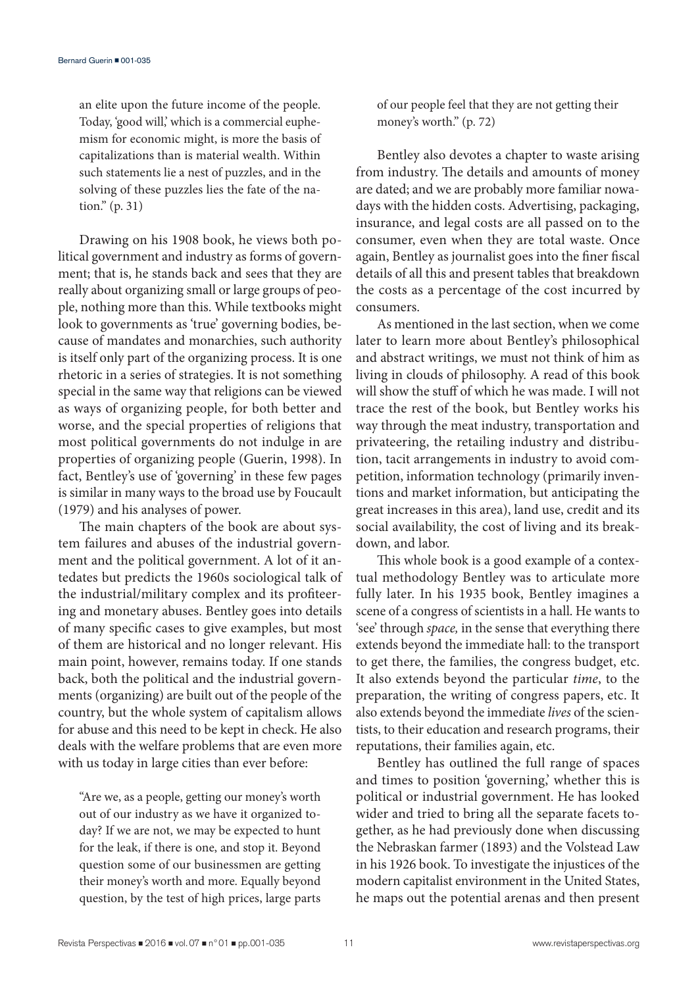an elite upon the future income of the people. Today, 'good will,' which is a commercial euphemism for economic might, is more the basis of capitalizations than is material wealth. Within such statements lie a nest of puzzles, and in the solving of these puzzles lies the fate of the nation." (p. 31)

Drawing on his 1908 book, he views both political government and industry as forms of government; that is, he stands back and sees that they are really about organizing small or large groups of people, nothing more than this. While textbooks might look to governments as 'true' governing bodies, because of mandates and monarchies, such authority is itself only part of the organizing process. It is one rhetoric in a series of strategies. It is not something special in the same way that religions can be viewed as ways of organizing people, for both better and worse, and the special properties of religions that most political governments do not indulge in are properties of organizing people (Guerin, 1998). In fact, Bentley's use of 'governing' in these few pages is similar in many ways to the broad use by Foucault (1979) and his analyses of power.

The main chapters of the book are about system failures and abuses of the industrial government and the political government. A lot of it antedates but predicts the 1960s sociological talk of the industrial/military complex and its profiteering and monetary abuses. Bentley goes into details of many specific cases to give examples, but most of them are historical and no longer relevant. His main point, however, remains today. If one stands back, both the political and the industrial governments (organizing) are built out of the people of the country, but the whole system of capitalism allows for abuse and this need to be kept in check. He also deals with the welfare problems that are even more with us today in large cities than ever before:

"Are we, as a people, getting our money's worth out of our industry as we have it organized today? If we are not, we may be expected to hunt for the leak, if there is one, and stop it. Beyond question some of our businessmen are getting their money's worth and more. Equally beyond question, by the test of high prices, large parts

of our people feel that they are not getting their money's worth." (p. 72)

Bentley also devotes a chapter to waste arising from industry. The details and amounts of money are dated; and we are probably more familiar nowadays with the hidden costs. Advertising, packaging, insurance, and legal costs are all passed on to the consumer, even when they are total waste. Once again, Bentley as journalist goes into the finer fiscal details of all this and present tables that breakdown the costs as a percentage of the cost incurred by consumers.

As mentioned in the last section, when we come later to learn more about Bentley's philosophical and abstract writings, we must not think of him as living in clouds of philosophy. A read of this book will show the stuff of which he was made. I will not trace the rest of the book, but Bentley works his way through the meat industry, transportation and privateering, the retailing industry and distribution, tacit arrangements in industry to avoid competition, information technology (primarily inventions and market information, but anticipating the great increases in this area), land use, credit and its social availability, the cost of living and its breakdown, and labor.

This whole book is a good example of a contextual methodology Bentley was to articulate more fully later. In his 1935 book, Bentley imagines a scene of a congress of scientists in a hall. He wants to 'see' through *space,* in the sense that everything there extends beyond the immediate hall: to the transport to get there, the families, the congress budget, etc. It also extends beyond the particular *time*, to the preparation, the writing of congress papers, etc. It also extends beyond the immediate *lives* of the scientists, to their education and research programs, their reputations, their families again, etc.

Bentley has outlined the full range of spaces and times to position 'governing,' whether this is political or industrial government. He has looked wider and tried to bring all the separate facets together, as he had previously done when discussing the Nebraskan farmer (1893) and the Volstead Law in his 1926 book. To investigate the injustices of the modern capitalist environment in the United States, he maps out the potential arenas and then present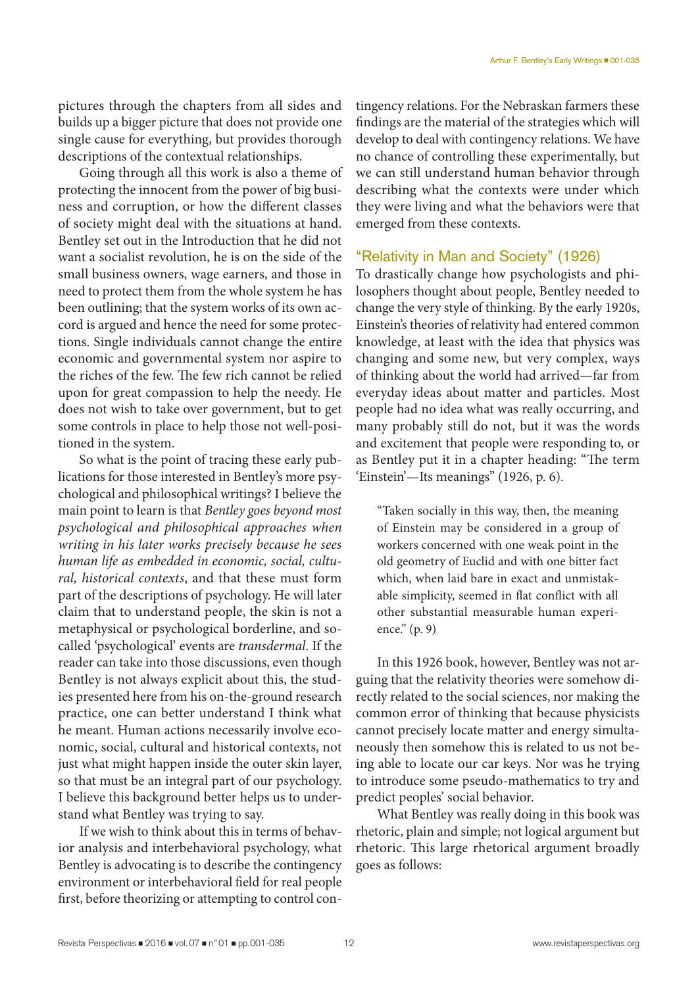pictures through the chapters from all sides and builds up a bigger picture that does not provide one single cause for everything, but provides thorough descriptions of the contextual relationships.

Going through all this work is also a theme of protecting the innocent from the power of big business and corruption, or how the different classes of society might deal with the situations at hand. Bentley set out in the Introduction that he did not want a socialist revolution, he is on the side of the small business owners, wage earners, and those in need to protect them from the whole system he has been outlining; that the system works of its own accord is argued and hence the need for some protections. Single individuals cannot change the entire economic and governmental system nor aspire to the riches of the few. The few rich cannot be relied upon for great compassion to help the needy. He does not wish to take over government, but to get some controls in place to help those not well-positioned in the system.

So what is the point of tracing these early publications for those interested in Bentley's more psychological and philosophical writings? I believe the main point to learn is that *Bentley goes beyond most psychological and philosophical approaches when writing in his later works precisely because he sees human life as embedded in economic, social, cultural, historical contexts*, and that these must form part of the descriptions of psychology. He will later claim that to understand people, the skin is not a metaphysical or psychological borderline, and socalled 'psychological' events are *transdermal*. If the reader can take into those discussions, even though Bentley is not always explicit about this, the studies presented here from his on-the-ground research practice, one can better understand I think what he meant. Human actions necessarily involve economic, social, cultural and historical contexts, not just what might happen inside the outer skin layer, so that must be an integral part of our psychology. I believe this background better helps us to understand what Bentley was trying to say.

If we wish to think about this in terms of behavior analysis and interbehavioral psychology, what Bentley is advocating is to describe the contingency environment or interbehavioral field for real people first, before theorizing or attempting to control contingency relations. For the Nebraskan farmers these findings are the material of the strategies which will develop to deal with contingency relations. We have no chance of controlling these experimentally, but we can still understand human behavior through describing what the contexts were under which they were living and what the behaviors were that emerged from these contexts.

## "Relativity in Man and Society" (1926)

To drastically change how psychologists and philosophers thought about people, Bentley needed to change the very style of thinking. By the early 1920s, Einstein's theories of relativity had entered common knowledge, at least with the idea that physics was changing and some new, but very complex, ways of thinking about the world had arrived—far from everyday ideas about matter and particles. Most people had no idea what was really occurring, and many probably still do not, but it was the words and excitement that people were responding to, or as Bentley put it in a chapter heading: "The term 'Einstein'—Its meanings" (1926, p. 6).

"Taken socially in this way, then, the meaning of Einstein may be considered in a group of workers concerned with one weak point in the old geometry of Euclid and with one bitter fact which, when laid bare in exact and unmistakable simplicity, seemed in flat conflict with all other substantial measurable human experience." (p. 9)

In this 1926 book, however, Bentley was not arguing that the relativity theories were somehow directly related to the social sciences, nor making the common error of thinking that because physicists cannot precisely locate matter and energy simultaneously then somehow this is related to us not being able to locate our car keys. Nor was he trying to introduce some pseudo-mathematics to try and predict peoples' social behavior.

What Bentley was really doing in this book was rhetoric, plain and simple; not logical argument but rhetoric. This large rhetorical argument broadly goes as follows: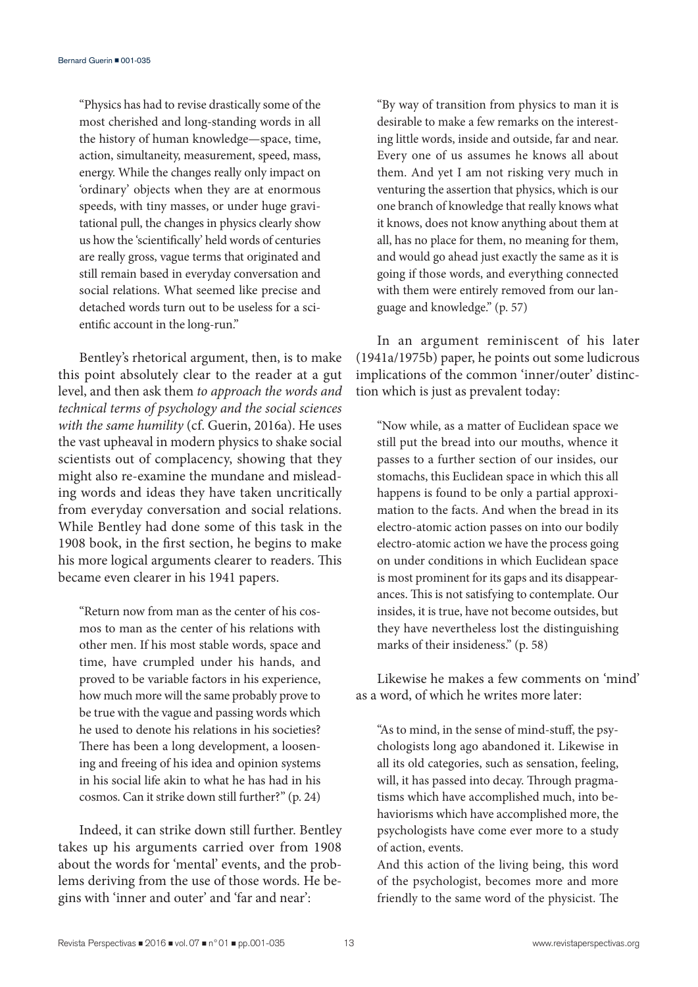"Physics has had to revise drastically some of the most cherished and long-standing words in all the history of human knowledge—space, time, action, simultaneity, measurement, speed, mass, energy. While the changes really only impact on 'ordinary' objects when they are at enormous speeds, with tiny masses, or under huge gravitational pull, the changes in physics clearly show us how the 'scientifically' held words of centuries are really gross, vague terms that originated and still remain based in everyday conversation and social relations. What seemed like precise and detached words turn out to be useless for a scientific account in the long-run."

Bentley's rhetorical argument, then, is to make this point absolutely clear to the reader at a gut level, and then ask them *to approach the words and technical terms of psychology and the social sciences with the same humility* (cf. Guerin, 2016a). He uses the vast upheaval in modern physics to shake social scientists out of complacency, showing that they might also re-examine the mundane and misleading words and ideas they have taken uncritically from everyday conversation and social relations. While Bentley had done some of this task in the 1908 book, in the first section, he begins to make his more logical arguments clearer to readers. This became even clearer in his 1941 papers.

"Return now from man as the center of his cosmos to man as the center of his relations with other men. If his most stable words, space and time, have crumpled under his hands, and proved to be variable factors in his experience, how much more will the same probably prove to be true with the vague and passing words which he used to denote his relations in his societies? There has been a long development, a loosening and freeing of his idea and opinion systems in his social life akin to what he has had in his cosmos. Can it strike down still further?" (p. 24)

Indeed, it can strike down still further. Bentley takes up his arguments carried over from 1908 about the words for 'mental' events, and the problems deriving from the use of those words. He begins with 'inner and outer' and 'far and near':

"By way of transition from physics to man it is desirable to make a few remarks on the interesting little words, inside and outside, far and near. Every one of us assumes he knows all about them. And yet I am not risking very much in venturing the assertion that physics, which is our one branch of knowledge that really knows what it knows, does not know anything about them at all, has no place for them, no meaning for them, and would go ahead just exactly the same as it is going if those words, and everything connected with them were entirely removed from our language and knowledge." (p. 57)

In an argument reminiscent of his later (1941a/1975b) paper, he points out some ludicrous implications of the common 'inner/outer' distinction which is just as prevalent today:

"Now while, as a matter of Euclidean space we still put the bread into our mouths, whence it passes to a further section of our insides, our stomachs, this Euclidean space in which this all happens is found to be only a partial approximation to the facts. And when the bread in its electro-atomic action passes on into our bodily electro-atomic action we have the process going on under conditions in which Euclidean space is most prominent for its gaps and its disappearances. This is not satisfying to contemplate. Our insides, it is true, have not become outsides, but they have nevertheless lost the distinguishing marks of their insideness." (p. 58)

Likewise he makes a few comments on 'mind' as a word, of which he writes more later:

"As to mind, in the sense of mind-stuff, the psychologists long ago abandoned it. Likewise in all its old categories, such as sensation, feeling, will, it has passed into decay. Through pragmatisms which have accomplished much, into behaviorisms which have accomplished more, the psychologists have come ever more to a study of action, events.

And this action of the living being, this word of the psychologist, becomes more and more friendly to the same word of the physicist. The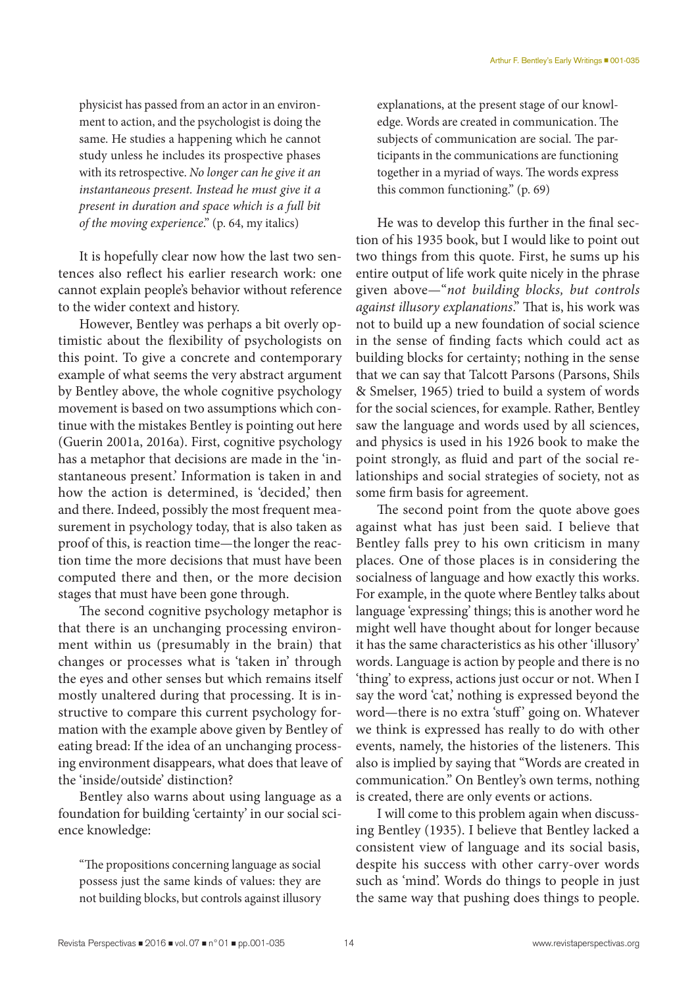physicist has passed from an actor in an environment to action, and the psychologist is doing the same. He studies a happening which he cannot study unless he includes its prospective phases with its retrospective. *No longer can he give it an instantaneous present. Instead he must give it a present in duration and space which is a full bit of the moving experience*." (p. 64, my italics)

It is hopefully clear now how the last two sentences also reflect his earlier research work: one cannot explain people's behavior without reference to the wider context and history.

However, Bentley was perhaps a bit overly optimistic about the flexibility of psychologists on this point. To give a concrete and contemporary example of what seems the very abstract argument by Bentley above, the whole cognitive psychology movement is based on two assumptions which continue with the mistakes Bentley is pointing out here (Guerin 2001a, 2016a). First, cognitive psychology has a metaphor that decisions are made in the 'instantaneous present.' Information is taken in and how the action is determined, is 'decided,' then and there. Indeed, possibly the most frequent measurement in psychology today, that is also taken as proof of this, is reaction time—the longer the reaction time the more decisions that must have been computed there and then, or the more decision stages that must have been gone through.

The second cognitive psychology metaphor is that there is an unchanging processing environment within us (presumably in the brain) that changes or processes what is 'taken in' through the eyes and other senses but which remains itself mostly unaltered during that processing. It is instructive to compare this current psychology formation with the example above given by Bentley of eating bread: If the idea of an unchanging processing environment disappears, what does that leave of the 'inside/outside' distinction?

Bentley also warns about using language as a foundation for building 'certainty' in our social science knowledge:

"The propositions concerning language as social possess just the same kinds of values: they are not building blocks, but controls against illusory explanations, at the present stage of our knowledge. Words are created in communication. The subjects of communication are social. The participants in the communications are functioning together in a myriad of ways. The words express this common functioning." (p. 69)

He was to develop this further in the final section of his 1935 book, but I would like to point out two things from this quote. First, he sums up his entire output of life work quite nicely in the phrase given above—"*not building blocks, but controls against illusory explanations*." That is, his work was not to build up a new foundation of social science in the sense of finding facts which could act as building blocks for certainty; nothing in the sense that we can say that Talcott Parsons (Parsons, Shils & Smelser, 1965) tried to build a system of words for the social sciences, for example. Rather, Bentley saw the language and words used by all sciences, and physics is used in his 1926 book to make the point strongly, as fluid and part of the social relationships and social strategies of society, not as some firm basis for agreement.

The second point from the quote above goes against what has just been said. I believe that Bentley falls prey to his own criticism in many places. One of those places is in considering the socialness of language and how exactly this works. For example, in the quote where Bentley talks about language 'expressing' things; this is another word he might well have thought about for longer because it has the same characteristics as his other 'illusory' words. Language is action by people and there is no 'thing' to express, actions just occur or not. When I say the word 'cat,' nothing is expressed beyond the word—there is no extra 'stuff' going on. Whatever we think is expressed has really to do with other events, namely, the histories of the listeners. This also is implied by saying that "Words are created in communication." On Bentley's own terms, nothing is created, there are only events or actions.

I will come to this problem again when discussing Bentley (1935). I believe that Bentley lacked a consistent view of language and its social basis, despite his success with other carry-over words such as 'mind'. Words do things to people in just the same way that pushing does things to people.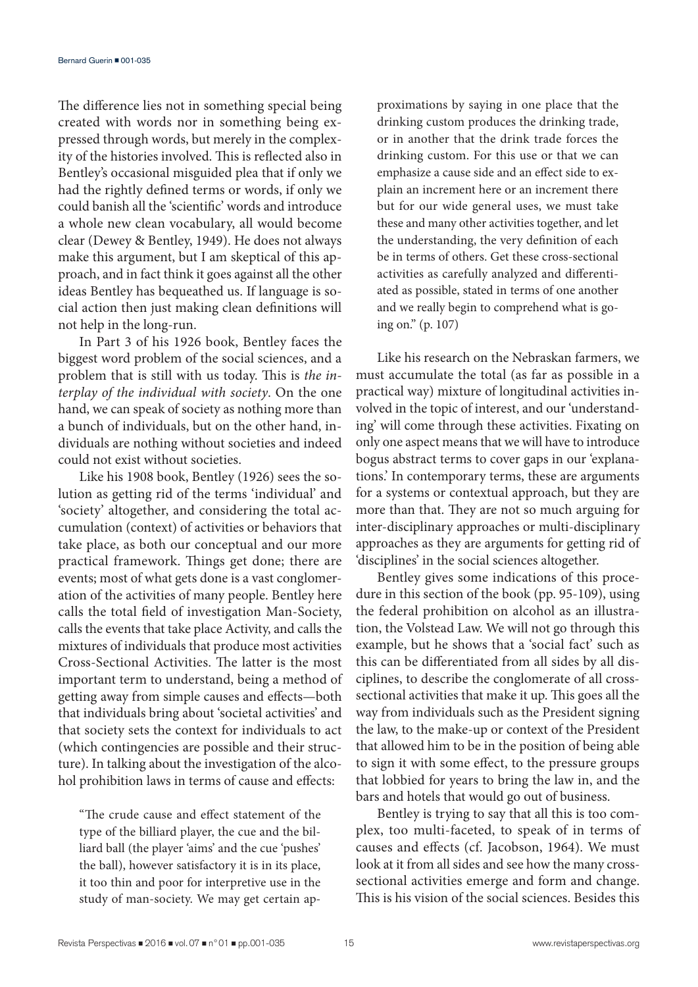The difference lies not in something special being created with words nor in something being expressed through words, but merely in the complexity of the histories involved. This is reflected also in Bentley's occasional misguided plea that if only we had the rightly defined terms or words, if only we could banish all the 'scientific' words and introduce a whole new clean vocabulary, all would become clear (Dewey & Bentley, 1949). He does not always make this argument, but I am skeptical of this approach, and in fact think it goes against all the other ideas Bentley has bequeathed us. If language is social action then just making clean definitions will not help in the long-run.

In Part 3 of his 1926 book, Bentley faces the biggest word problem of the social sciences, and a problem that is still with us today. This is *the interplay of the individual with society*. On the one hand, we can speak of society as nothing more than a bunch of individuals, but on the other hand, individuals are nothing without societies and indeed could not exist without societies.

Like his 1908 book, Bentley (1926) sees the solution as getting rid of the terms 'individual' and 'society' altogether, and considering the total accumulation (context) of activities or behaviors that take place, as both our conceptual and our more practical framework. Things get done; there are events; most of what gets done is a vast conglomeration of the activities of many people. Bentley here calls the total field of investigation Man-Society, calls the events that take place Activity, and calls the mixtures of individuals that produce most activities Cross-Sectional Activities. The latter is the most important term to understand, being a method of getting away from simple causes and effects—both that individuals bring about 'societal activities' and that society sets the context for individuals to act (which contingencies are possible and their structure). In talking about the investigation of the alcohol prohibition laws in terms of cause and effects:

"The crude cause and effect statement of the type of the billiard player, the cue and the billiard ball (the player 'aims' and the cue 'pushes' the ball), however satisfactory it is in its place, it too thin and poor for interpretive use in the study of man-society. We may get certain approximations by saying in one place that the drinking custom produces the drinking trade, or in another that the drink trade forces the drinking custom. For this use or that we can emphasize a cause side and an effect side to explain an increment here or an increment there but for our wide general uses, we must take these and many other activities together, and let the understanding, the very definition of each be in terms of others. Get these cross-sectional activities as carefully analyzed and differentiated as possible, stated in terms of one another and we really begin to comprehend what is going on." (p. 107)

Like his research on the Nebraskan farmers, we must accumulate the total (as far as possible in a practical way) mixture of longitudinal activities involved in the topic of interest, and our 'understanding' will come through these activities. Fixating on only one aspect means that we will have to introduce bogus abstract terms to cover gaps in our 'explanations.' In contemporary terms, these are arguments for a systems or contextual approach, but they are more than that. They are not so much arguing for inter-disciplinary approaches or multi-disciplinary approaches as they are arguments for getting rid of 'disciplines' in the social sciences altogether.

Bentley gives some indications of this procedure in this section of the book (pp. 95-109), using the federal prohibition on alcohol as an illustration, the Volstead Law. We will not go through this example, but he shows that a 'social fact' such as this can be differentiated from all sides by all disciplines, to describe the conglomerate of all crosssectional activities that make it up. This goes all the way from individuals such as the President signing the law, to the make-up or context of the President that allowed him to be in the position of being able to sign it with some effect, to the pressure groups that lobbied for years to bring the law in, and the bars and hotels that would go out of business.

Bentley is trying to say that all this is too complex, too multi-faceted, to speak of in terms of causes and effects (cf. Jacobson, 1964). We must look at it from all sides and see how the many crosssectional activities emerge and form and change. This is his vision of the social sciences. Besides this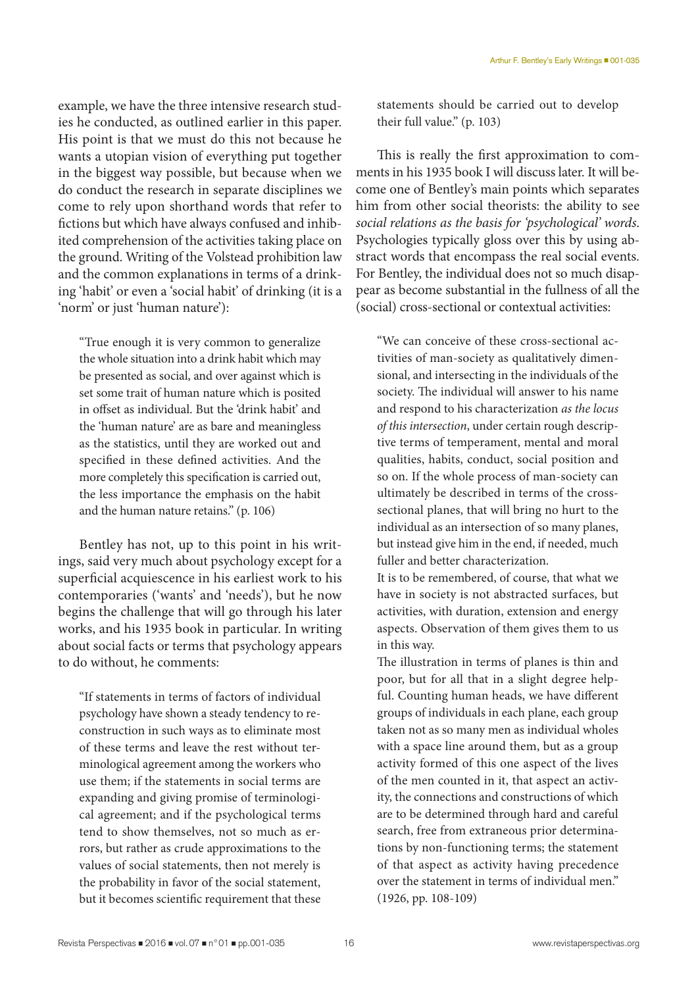example, we have the three intensive research studies he conducted, as outlined earlier in this paper. His point is that we must do this not because he wants a utopian vision of everything put together in the biggest way possible, but because when we do conduct the research in separate disciplines we come to rely upon shorthand words that refer to fictions but which have always confused and inhibited comprehension of the activities taking place on the ground. Writing of the Volstead prohibition law and the common explanations in terms of a drinking 'habit' or even a 'social habit' of drinking (it is a 'norm' or just 'human nature'):

"True enough it is very common to generalize the whole situation into a drink habit which may be presented as social, and over against which is set some trait of human nature which is posited in offset as individual. But the 'drink habit' and the 'human nature' are as bare and meaningless as the statistics, until they are worked out and specified in these defined activities. And the more completely this specification is carried out, the less importance the emphasis on the habit and the human nature retains." (p. 106)

Bentley has not, up to this point in his writings, said very much about psychology except for a superficial acquiescence in his earliest work to his contemporaries ('wants' and 'needs'), but he now begins the challenge that will go through his later works, and his 1935 book in particular. In writing about social facts or terms that psychology appears to do without, he comments:

"If statements in terms of factors of individual psychology have shown a steady tendency to reconstruction in such ways as to eliminate most of these terms and leave the rest without terminological agreement among the workers who use them; if the statements in social terms are expanding and giving promise of terminological agreement; and if the psychological terms tend to show themselves, not so much as errors, but rather as crude approximations to the values of social statements, then not merely is the probability in favor of the social statement, but it becomes scientific requirement that these

statements should be carried out to develop their full value." (p. 103)

This is really the first approximation to comments in his 1935 book I will discuss later. It will become one of Bentley's main points which separates him from other social theorists: the ability to see *social relations as the basis for 'psychological' words*. Psychologies typically gloss over this by using abstract words that encompass the real social events. For Bentley, the individual does not so much disappear as become substantial in the fullness of all the (social) cross-sectional or contextual activities:

"We can conceive of these cross-sectional activities of man-society as qualitatively dimensional, and intersecting in the individuals of the society. The individual will answer to his name and respond to his characterization *as the locus of this intersection*, under certain rough descriptive terms of temperament, mental and moral qualities, habits, conduct, social position and so on. If the whole process of man-society can ultimately be described in terms of the crosssectional planes, that will bring no hurt to the individual as an intersection of so many planes, but instead give him in the end, if needed, much fuller and better characterization.

It is to be remembered, of course, that what we have in society is not abstracted surfaces, but activities, with duration, extension and energy aspects. Observation of them gives them to us in this way.

The illustration in terms of planes is thin and poor, but for all that in a slight degree helpful. Counting human heads, we have different groups of individuals in each plane, each group taken not as so many men as individual wholes with a space line around them, but as a group activity formed of this one aspect of the lives of the men counted in it, that aspect an activity, the connections and constructions of which are to be determined through hard and careful search, free from extraneous prior determinations by non-functioning terms; the statement of that aspect as activity having precedence over the statement in terms of individual men." (1926, pp. 108-109)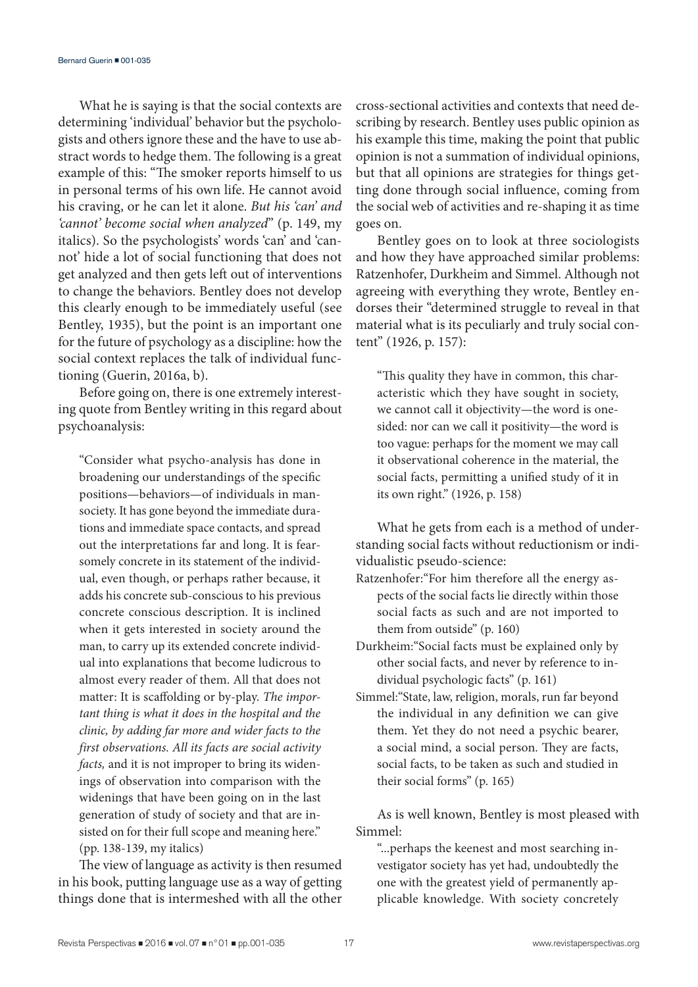What he is saying is that the social contexts are determining 'individual' behavior but the psychologists and others ignore these and the have to use abstract words to hedge them. The following is a great example of this: "The smoker reports himself to us in personal terms of his own life. He cannot avoid his craving, or he can let it alone. *But his 'can' and 'cannot' become social when analyzed*" (p. 149, my italics). So the psychologists' words 'can' and 'cannot' hide a lot of social functioning that does not get analyzed and then gets left out of interventions to change the behaviors. Bentley does not develop this clearly enough to be immediately useful (see Bentley, 1935), but the point is an important one for the future of psychology as a discipline: how the social context replaces the talk of individual functioning (Guerin, 2016a, b).

Before going on, there is one extremely interesting quote from Bentley writing in this regard about psychoanalysis:

"Consider what psycho-analysis has done in broadening our understandings of the specific positions—behaviors—of individuals in mansociety. It has gone beyond the immediate durations and immediate space contacts, and spread out the interpretations far and long. It is fearsomely concrete in its statement of the individual, even though, or perhaps rather because, it adds his concrete sub-conscious to his previous concrete conscious description. It is inclined when it gets interested in society around the man, to carry up its extended concrete individual into explanations that become ludicrous to almost every reader of them. All that does not matter: It is scaffolding or by-play. *The important thing is what it does in the hospital and the clinic, by adding far more and wider facts to the first observations. All its facts are social activity facts,* and it is not improper to bring its widenings of observation into comparison with the widenings that have been going on in the last generation of study of society and that are insisted on for their full scope and meaning here." (pp. 138-139, my italics)

The view of language as activity is then resumed in his book, putting language use as a way of getting things done that is intermeshed with all the other cross-sectional activities and contexts that need describing by research. Bentley uses public opinion as his example this time, making the point that public opinion is not a summation of individual opinions, but that all opinions are strategies for things getting done through social influence, coming from the social web of activities and re-shaping it as time goes on.

Bentley goes on to look at three sociologists and how they have approached similar problems: Ratzenhofer, Durkheim and Simmel. Although not agreeing with everything they wrote, Bentley endorses their "determined struggle to reveal in that material what is its peculiarly and truly social content" (1926, p. 157):

"This quality they have in common, this characteristic which they have sought in society, we cannot call it objectivity—the word is onesided: nor can we call it positivity—the word is too vague: perhaps for the moment we may call it observational coherence in the material, the social facts, permitting a unified study of it in its own right." (1926, p. 158)

What he gets from each is a method of understanding social facts without reductionism or individualistic pseudo-science:

- Ratzenhofer:"For him therefore all the energy aspects of the social facts lie directly within those social facts as such and are not imported to them from outside" (p. 160)
- Durkheim:"Social facts must be explained only by other social facts, and never by reference to individual psychologic facts" (p. 161)
- Simmel:"State, law, religion, morals, run far beyond the individual in any definition we can give them. Yet they do not need a psychic bearer, a social mind, a social person. They are facts, social facts, to be taken as such and studied in their social forms" (p. 165)

As is well known, Bentley is most pleased with Simmel:

"...perhaps the keenest and most searching investigator society has yet had, undoubtedly the one with the greatest yield of permanently applicable knowledge. With society concretely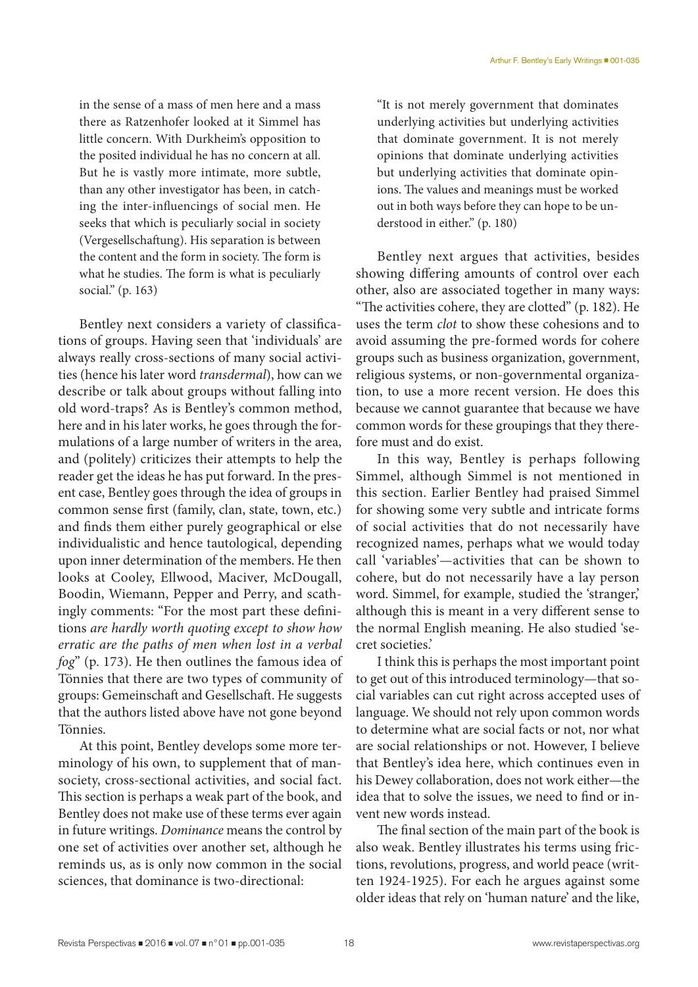in the sense of a mass of men here and a mass there as Ratzenhofer looked at it Simmel has little concern. With Durkheim's opposition to the posited individual he has no concern at all. But he is vastly more intimate, more subtle, than any other investigator has been, in catching the inter-influencings of social men. He seeks that which is peculiarly social in society (Vergesellschaftung). His separation is between the content and the form in society. The form is what he studies. The form is what is peculiarly social." (p. 163)

Bentley next considers a variety of classifications of groups. Having seen that 'individuals' are always really cross-sections of many social activities (hence his later word *transdermal*), how can we describe or talk about groups without falling into old word-traps? As is Bentley's common method, here and in his later works, he goes through the formulations of a large number of writers in the area, and (politely) criticizes their attempts to help the reader get the ideas he has put forward. In the present case, Bentley goes through the idea of groups in common sense first (family, clan, state, town, etc.) and finds them either purely geographical or else individualistic and hence tautological, depending upon inner determination of the members. He then looks at Cooley, Ellwood, Maciver, McDougall, Boodin, Wiemann, Pepper and Perry, and scathingly comments: "For the most part these definitions *are hardly worth quoting except to show how erratic are the paths of men when lost in a verbal fog*" (p. 173). He then outlines the famous idea of Tönnies that there are two types of community of groups: Gemeinschaft and Gesellschaft. He suggests that the authors listed above have not gone beyond Tönnies.

At this point, Bentley develops some more terminology of his own, to supplement that of mansociety, cross-sectional activities, and social fact. This section is perhaps a weak part of the book, and Bentley does not make use of these terms ever again in future writings. *Dominance* means the control by one set of activities over another set, although he reminds us, as is only now common in the social sciences, that dominance is two-directional:

"It is not merely government that dominates underlying activities but underlying activities that dominate government. It is not merely opinions that dominate underlying activities but underlying activities that dominate opinions. The values and meanings must be worked out in both ways before they can hope to be understood in either." (p. 180)

Bentley next argues that activities, besides showing differing amounts of control over each other, also are associated together in many ways: "The activities cohere, they are clotted" (p. 182). He uses the term *clot* to show these cohesions and to avoid assuming the pre-formed words for cohere groups such as business organization, government, religious systems, or non-governmental organization, to use a more recent version. He does this because we cannot guarantee that because we have common words for these groupings that they therefore must and do exist.

In this way, Bentley is perhaps following Simmel, although Simmel is not mentioned in this section. Earlier Bentley had praised Simmel for showing some very subtle and intricate forms of social activities that do not necessarily have recognized names, perhaps what we would today call 'variables'—activities that can be shown to cohere, but do not necessarily have a lay person word. Simmel, for example, studied the 'stranger,' although this is meant in a very different sense to the normal English meaning. He also studied 'secret societies.'

I think this is perhaps the most important point to get out of this introduced terminology—that social variables can cut right across accepted uses of language. We should not rely upon common words to determine what are social facts or not, nor what are social relationships or not. However, I believe that Bentley's idea here, which continues even in his Dewey collaboration, does not work either—the idea that to solve the issues, we need to find or invent new words instead.

The final section of the main part of the book is also weak. Bentley illustrates his terms using frictions, revolutions, progress, and world peace (written 1924-1925). For each he argues against some older ideas that rely on 'human nature' and the like,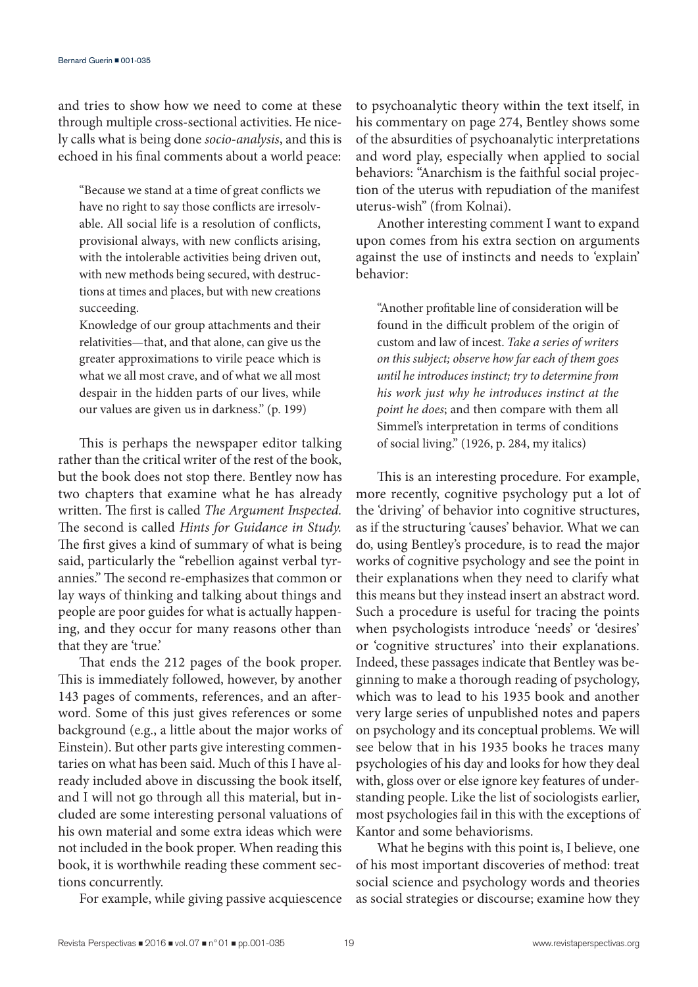and tries to show how we need to come at these through multiple cross-sectional activities. He nicely calls what is being done *socio-analysis*, and this is echoed in his final comments about a world peace:

"Because we stand at a time of great conflicts we have no right to say those conflicts are irresolvable. All social life is a resolution of conflicts, provisional always, with new conflicts arising, with the intolerable activities being driven out, with new methods being secured, with destructions at times and places, but with new creations succeeding.

Knowledge of our group attachments and their relativities—that, and that alone, can give us the greater approximations to virile peace which is what we all most crave, and of what we all most despair in the hidden parts of our lives, while our values are given us in darkness." (p. 199)

This is perhaps the newspaper editor talking rather than the critical writer of the rest of the book, but the book does not stop there. Bentley now has two chapters that examine what he has already written. The first is called *The Argument Inspected.*  The second is called *Hints for Guidance in Study.* The first gives a kind of summary of what is being said, particularly the "rebellion against verbal tyrannies." The second re-emphasizes that common or lay ways of thinking and talking about things and people are poor guides for what is actually happening, and they occur for many reasons other than that they are 'true.'

That ends the 212 pages of the book proper. This is immediately followed, however, by another 143 pages of comments, references, and an afterword. Some of this just gives references or some background (e.g., a little about the major works of Einstein). But other parts give interesting commentaries on what has been said. Much of this I have already included above in discussing the book itself, and I will not go through all this material, but included are some interesting personal valuations of his own material and some extra ideas which were not included in the book proper. When reading this book, it is worthwhile reading these comment sections concurrently.

For example, while giving passive acquiescence

to psychoanalytic theory within the text itself, in his commentary on page 274, Bentley shows some of the absurdities of psychoanalytic interpretations and word play, especially when applied to social behaviors: "Anarchism is the faithful social projection of the uterus with repudiation of the manifest uterus-wish" (from Kolnai).

Another interesting comment I want to expand upon comes from his extra section on arguments against the use of instincts and needs to 'explain' behavior:

"Another profitable line of consideration will be found in the difficult problem of the origin of custom and law of incest. *Take a series of writers on this subject; observe how far each of them goes until he introduces instinct; try to determine from his work just why he introduces instinct at the point he does*; and then compare with them all Simmel's interpretation in terms of conditions of social living." (1926, p. 284, my italics)

This is an interesting procedure. For example, more recently, cognitive psychology put a lot of the 'driving' of behavior into cognitive structures, as if the structuring 'causes' behavior. What we can do, using Bentley's procedure, is to read the major works of cognitive psychology and see the point in their explanations when they need to clarify what this means but they instead insert an abstract word. Such a procedure is useful for tracing the points when psychologists introduce 'needs' or 'desires' or 'cognitive structures' into their explanations. Indeed, these passages indicate that Bentley was beginning to make a thorough reading of psychology, which was to lead to his 1935 book and another very large series of unpublished notes and papers on psychology and its conceptual problems. We will see below that in his 1935 books he traces many psychologies of his day and looks for how they deal with, gloss over or else ignore key features of understanding people. Like the list of sociologists earlier, most psychologies fail in this with the exceptions of Kantor and some behaviorisms.

What he begins with this point is, I believe, one of his most important discoveries of method: treat social science and psychology words and theories as social strategies or discourse; examine how they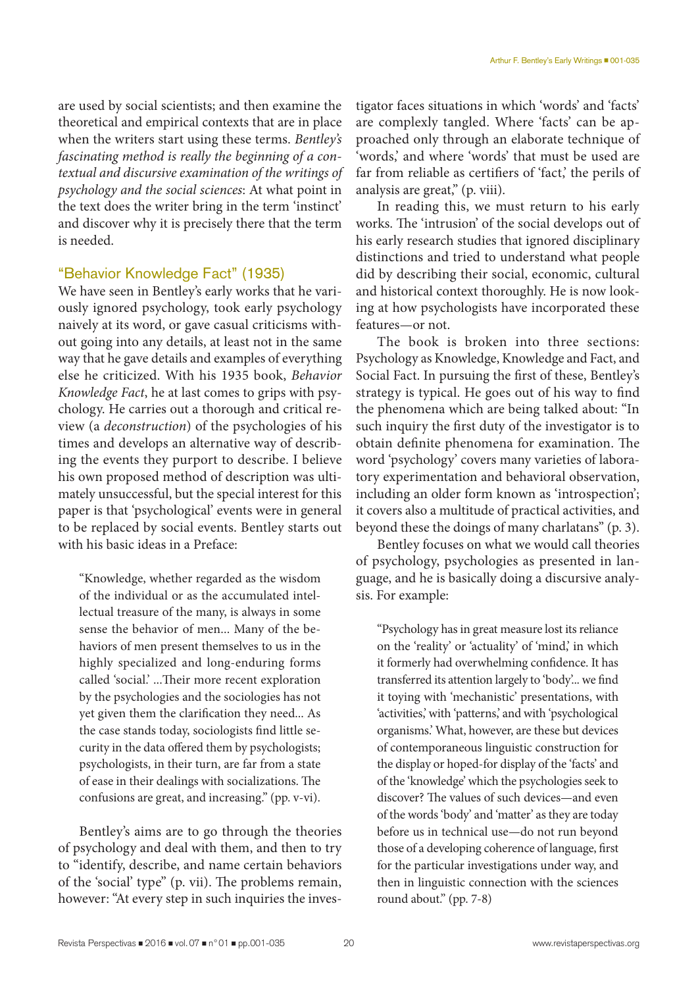are used by social scientists; and then examine the theoretical and empirical contexts that are in place when the writers start using these terms. *Bentley's fascinating method is really the beginning of a contextual and discursive examination of the writings of psychology and the social sciences*: At what point in the text does the writer bring in the term 'instinct' and discover why it is precisely there that the term is needed.

### "Behavior Knowledge Fact" (1935)

We have seen in Bentley's early works that he variously ignored psychology, took early psychology naively at its word, or gave casual criticisms without going into any details, at least not in the same way that he gave details and examples of everything else he criticized. With his 1935 book, *Behavior Knowledge Fact*, he at last comes to grips with psychology. He carries out a thorough and critical review (a *deconstruction*) of the psychologies of his times and develops an alternative way of describing the events they purport to describe. I believe his own proposed method of description was ultimately unsuccessful, but the special interest for this paper is that 'psychological' events were in general to be replaced by social events. Bentley starts out with his basic ideas in a Preface:

"Knowledge, whether regarded as the wisdom of the individual or as the accumulated intellectual treasure of the many, is always in some sense the behavior of men... Many of the behaviors of men present themselves to us in the highly specialized and long-enduring forms called 'social.' ...Their more recent exploration by the psychologies and the sociologies has not yet given them the clarification they need... As the case stands today, sociologists find little security in the data offered them by psychologists; psychologists, in their turn, are far from a state of ease in their dealings with socializations. The confusions are great, and increasing." (pp. v-vi).

Bentley's aims are to go through the theories of psychology and deal with them, and then to try to "identify, describe, and name certain behaviors of the 'social' type" (p. vii). The problems remain, however: "At every step in such inquiries the investigator faces situations in which 'words' and 'facts' are complexly tangled. Where 'facts' can be approached only through an elaborate technique of 'words,' and where 'words' that must be used are far from reliable as certifiers of 'fact,' the perils of analysis are great," (p. viii).

In reading this, we must return to his early works. The 'intrusion' of the social develops out of his early research studies that ignored disciplinary distinctions and tried to understand what people did by describing their social, economic, cultural and historical context thoroughly. He is now looking at how psychologists have incorporated these features—or not.

The book is broken into three sections: Psychology as Knowledge, Knowledge and Fact, and Social Fact. In pursuing the first of these, Bentley's strategy is typical. He goes out of his way to find the phenomena which are being talked about: "In such inquiry the first duty of the investigator is to obtain definite phenomena for examination. The word 'psychology' covers many varieties of laboratory experimentation and behavioral observation, including an older form known as 'introspection'; it covers also a multitude of practical activities, and beyond these the doings of many charlatans" (p. 3).

Bentley focuses on what we would call theories of psychology, psychologies as presented in language, and he is basically doing a discursive analysis. For example:

"Psychology has in great measure lost its reliance on the 'reality' or 'actuality' of 'mind,' in which it formerly had overwhelming confidence. It has transferred its attention largely to 'body'... we find it toying with 'mechanistic' presentations, with 'activities,' with 'patterns,' and with 'psychological organisms.' What, however, are these but devices of contemporaneous linguistic construction for the display or hoped-for display of the 'facts' and of the 'knowledge' which the psychologies seek to discover? The values of such devices—and even of the words 'body' and 'matter' as they are today before us in technical use—do not run beyond those of a developing coherence of language, first for the particular investigations under way, and then in linguistic connection with the sciences round about." (pp. 7-8)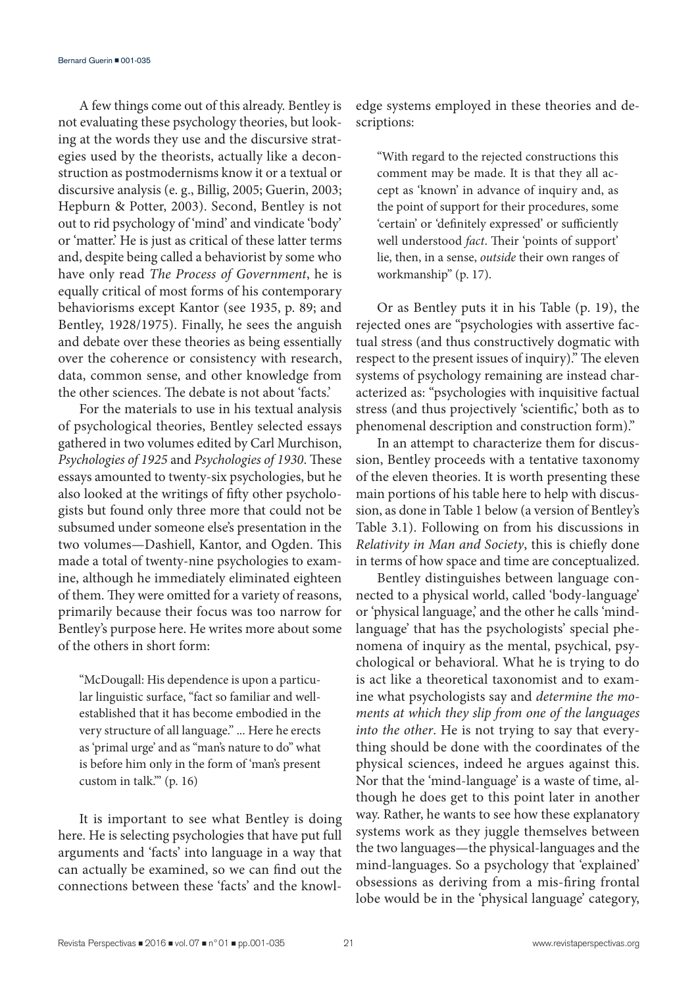A few things come out of this already. Bentley is not evaluating these psychology theories, but looking at the words they use and the discursive strategies used by the theorists, actually like a deconstruction as postmodernisms know it or a textual or discursive analysis (e. g., Billig, 2005; Guerin, 2003; Hepburn & Potter, 2003). Second, Bentley is not out to rid psychology of 'mind' and vindicate 'body' or 'matter.' He is just as critical of these latter terms and, despite being called a behaviorist by some who have only read *The Process of Government*, he is equally critical of most forms of his contemporary behaviorisms except Kantor (see 1935, p. 89; and Bentley, 1928/1975). Finally, he sees the anguish and debate over these theories as being essentially over the coherence or consistency with research, data, common sense, and other knowledge from the other sciences. The debate is not about 'facts.'

For the materials to use in his textual analysis of psychological theories, Bentley selected essays gathered in two volumes edited by Carl Murchison, *Psychologies of 1925* and *Psychologies of 1930*. These essays amounted to twenty-six psychologies, but he also looked at the writings of fifty other psychologists but found only three more that could not be subsumed under someone else's presentation in the two volumes—Dashiell, Kantor, and Ogden. This made a total of twenty-nine psychologies to examine, although he immediately eliminated eighteen of them. They were omitted for a variety of reasons, primarily because their focus was too narrow for Bentley's purpose here. He writes more about some of the others in short form:

"McDougall: His dependence is upon a particular linguistic surface, "fact so familiar and wellestablished that it has become embodied in the very structure of all language." ... Here he erects as 'primal urge' and as "man's nature to do" what is before him only in the form of 'man's present custom in talk.'" (p. 16)

It is important to see what Bentley is doing here. He is selecting psychologies that have put full arguments and 'facts' into language in a way that can actually be examined, so we can find out the connections between these 'facts' and the knowledge systems employed in these theories and descriptions:

"With regard to the rejected constructions this comment may be made. It is that they all accept as 'known' in advance of inquiry and, as the point of support for their procedures, some 'certain' or 'definitely expressed' or sufficiently well understood *fact*. Their 'points of support' lie, then, in a sense, *outside* their own ranges of workmanship" (p. 17).

Or as Bentley puts it in his Table (p. 19), the rejected ones are "psychologies with assertive factual stress (and thus constructively dogmatic with respect to the present issues of inquiry)." The eleven systems of psychology remaining are instead characterized as: "psychologies with inquisitive factual stress (and thus projectively 'scientific,' both as to phenomenal description and construction form)."

In an attempt to characterize them for discussion, Bentley proceeds with a tentative taxonomy of the eleven theories. It is worth presenting these main portions of his table here to help with discussion, as done in Table 1 below (a version of Bentley's Table 3.1). Following on from his discussions in *Relativity in Man and Society*, this is chiefly done in terms of how space and time are conceptualized.

Bentley distinguishes between language connected to a physical world, called 'body-language' or 'physical language,' and the other he calls 'mindlanguage' that has the psychologists' special phenomena of inquiry as the mental, psychical, psychological or behavioral. What he is trying to do is act like a theoretical taxonomist and to examine what psychologists say and *determine the moments at which they slip from one of the languages into the other*. He is not trying to say that everything should be done with the coordinates of the physical sciences, indeed he argues against this. Nor that the 'mind-language' is a waste of time, although he does get to this point later in another way. Rather, he wants to see how these explanatory systems work as they juggle themselves between the two languages—the physical-languages and the mind-languages. So a psychology that 'explained' obsessions as deriving from a mis-firing frontal lobe would be in the 'physical language' category,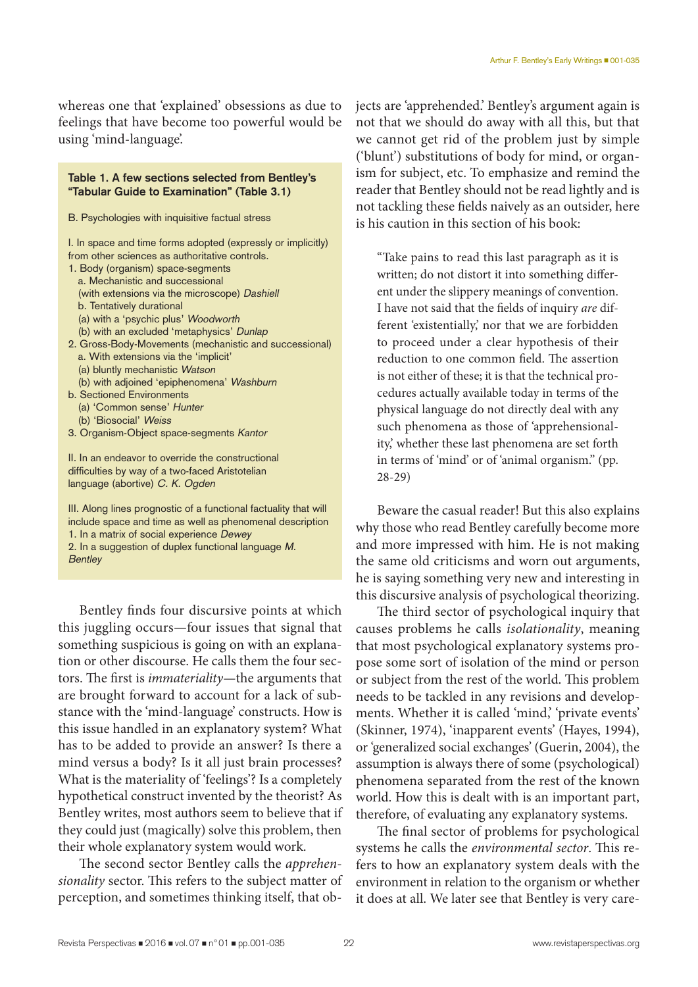whereas one that 'explained' obsessions as due to feelings that have become too powerful would be using 'mind-language'.

#### **Table 1. A few sections selected from Bentley's "Tabular Guide to Examination" (Table 3.1)**

B. Psychologies with inquisitive factual stress

- I. In space and time forms adopted (expressly or implicitly) from other sciences as authoritative controls.
- 1. Body (organism) space-segments
	- a. Mechanistic and successional
	- (with extensions via the microscope) Dashiell
	- b. Tentatively durational
	- (a) with a 'psychic plus' Woodworth
	- (b) with an excluded 'metaphysics' Dunlap
- 2. Gross-Body-Movements (mechanistic and successional) a. With extensions via the 'implicit' (a) bluntly mechanistic Watson
	-
	- (b) with adjoined 'epiphenomena' Washburn
- b. Sectioned Environments
	- (a) 'Common sense' Hunter
	- (b) 'Biosocial' Weiss
- 3. Organism-Object space-segments Kantor

II. In an endeavor to override the constructional difficulties by way of a two-faced Aristotelian language (abortive) C. K. Ogden

III. Along lines prognostic of a functional factuality that will include space and time as well as phenomenal description 1. In a matrix of social experience Dewey

2. In a suggestion of duplex functional language M. **Bentley** 

Bentley finds four discursive points at which this juggling occurs—four issues that signal that something suspicious is going on with an explanation or other discourse. He calls them the four sectors. The first is *immateriality—*the arguments that are brought forward to account for a lack of substance with the 'mind-language' constructs. How is this issue handled in an explanatory system? What has to be added to provide an answer? Is there a mind versus a body? Is it all just brain processes? What is the materiality of 'feelings'? Is a completely hypothetical construct invented by the theorist? As Bentley writes, most authors seem to believe that if they could just (magically) solve this problem, then their whole explanatory system would work.

The second sector Bentley calls the *apprehensionality* sector. This refers to the subject matter of perception, and sometimes thinking itself, that objects are 'apprehended.' Bentley's argument again is not that we should do away with all this, but that we cannot get rid of the problem just by simple ('blunt') substitutions of body for mind, or organism for subject, etc. To emphasize and remind the reader that Bentley should not be read lightly and is not tackling these fields naively as an outsider, here is his caution in this section of his book:

"Take pains to read this last paragraph as it is written; do not distort it into something different under the slippery meanings of convention. I have not said that the fields of inquiry *are* different 'existentially,' nor that we are forbidden to proceed under a clear hypothesis of their reduction to one common field. The assertion is not either of these; it is that the technical procedures actually available today in terms of the physical language do not directly deal with any such phenomena as those of 'apprehensionality,' whether these last phenomena are set forth in terms of 'mind' or of 'animal organism." (pp. 28-29)

Beware the casual reader! But this also explains why those who read Bentley carefully become more and more impressed with him. He is not making the same old criticisms and worn out arguments, he is saying something very new and interesting in this discursive analysis of psychological theorizing.

The third sector of psychological inquiry that causes problems he calls *isolationality*, meaning that most psychological explanatory systems propose some sort of isolation of the mind or person or subject from the rest of the world. This problem needs to be tackled in any revisions and developments. Whether it is called 'mind,' private events' (Skinner, 1974), 'inapparent events' (Hayes, 1994), or 'generalized social exchanges' (Guerin, 2004), the assumption is always there of some (psychological) phenomena separated from the rest of the known world. How this is dealt with is an important part, therefore, of evaluating any explanatory systems.

The final sector of problems for psychological systems he calls the *environmental sector*. This refers to how an explanatory system deals with the environment in relation to the organism or whether it does at all. We later see that Bentley is very care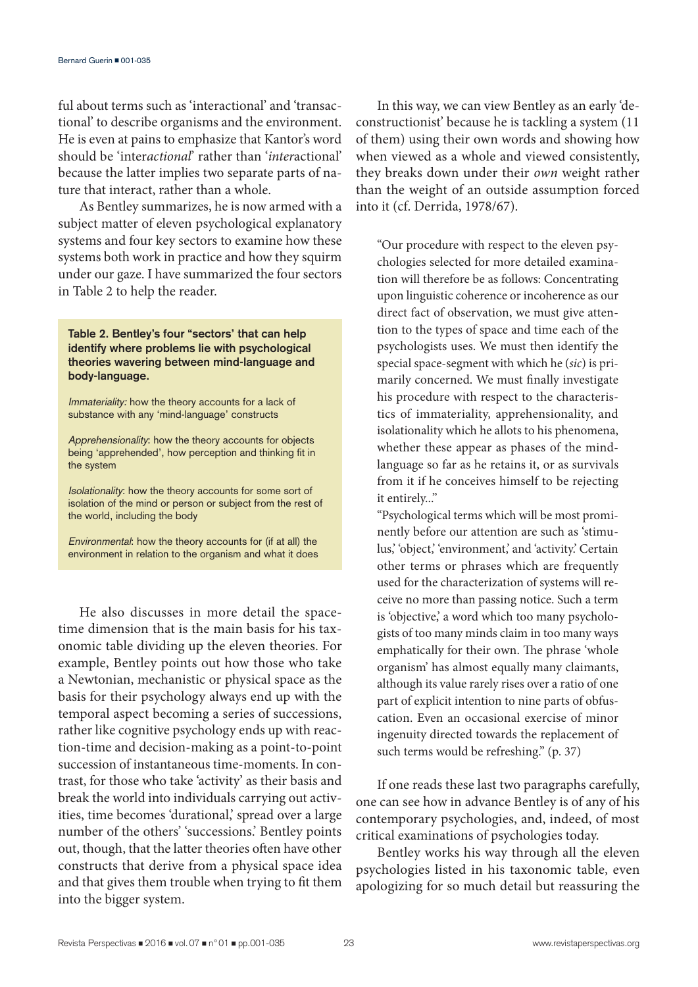ful about terms such as 'interactional' and 'transactional' to describe organisms and the environment. He is even at pains to emphasize that Kantor's word should be 'inter*actional*' rather than '*inter*actional' because the latter implies two separate parts of nature that interact, rather than a whole.

As Bentley summarizes, he is now armed with a subject matter of eleven psychological explanatory systems and four key sectors to examine how these systems both work in practice and how they squirm under our gaze. I have summarized the four sectors in Table 2 to help the reader.

**Table 2. Bentley's four "sectors' that can help identify where problems lie with psychological theories wavering between mind-language and body-language.**

Immateriality: how the theory accounts for a lack of substance with any 'mind-language' constructs

Apprehensionality: how the theory accounts for objects being 'apprehended', how perception and thinking fit in the system

Isolationality: how the theory accounts for some sort of isolation of the mind or person or subject from the rest of the world, including the body

Environmental: how the theory accounts for (if at all) the environment in relation to the organism and what it does

He also discusses in more detail the spacetime dimension that is the main basis for his taxonomic table dividing up the eleven theories. For example, Bentley points out how those who take a Newtonian, mechanistic or physical space as the basis for their psychology always end up with the temporal aspect becoming a series of successions, rather like cognitive psychology ends up with reaction-time and decision-making as a point-to-point succession of instantaneous time-moments. In contrast, for those who take 'activity' as their basis and break the world into individuals carrying out activities, time becomes 'durational,' spread over a large number of the others' 'successions.' Bentley points out, though, that the latter theories often have other constructs that derive from a physical space idea and that gives them trouble when trying to fit them into the bigger system.

In this way, we can view Bentley as an early 'deconstructionist' because he is tackling a system (11 of them) using their own words and showing how when viewed as a whole and viewed consistently, they breaks down under their *own* weight rather than the weight of an outside assumption forced into it (cf. Derrida, 1978/67).

"Our procedure with respect to the eleven psychologies selected for more detailed examination will therefore be as follows: Concentrating upon linguistic coherence or incoherence as our direct fact of observation, we must give attention to the types of space and time each of the psychologists uses. We must then identify the special space-segment with which he (*sic*) is primarily concerned. We must finally investigate his procedure with respect to the characteristics of immateriality, apprehensionality, and isolationality which he allots to his phenomena, whether these appear as phases of the mindlanguage so far as he retains it, or as survivals from it if he conceives himself to be rejecting it entirely..."

"Psychological terms which will be most prominently before our attention are such as 'stimulus,' 'object,' 'environment,' and 'activity.' Certain other terms or phrases which are frequently used for the characterization of systems will receive no more than passing notice. Such a term is 'objective,' a word which too many psychologists of too many minds claim in too many ways emphatically for their own. The phrase 'whole organism' has almost equally many claimants, although its value rarely rises over a ratio of one part of explicit intention to nine parts of obfuscation. Even an occasional exercise of minor ingenuity directed towards the replacement of such terms would be refreshing." (p. 37)

If one reads these last two paragraphs carefully, one can see how in advance Bentley is of any of his contemporary psychologies, and, indeed, of most critical examinations of psychologies today.

Bentley works his way through all the eleven psychologies listed in his taxonomic table, even apologizing for so much detail but reassuring the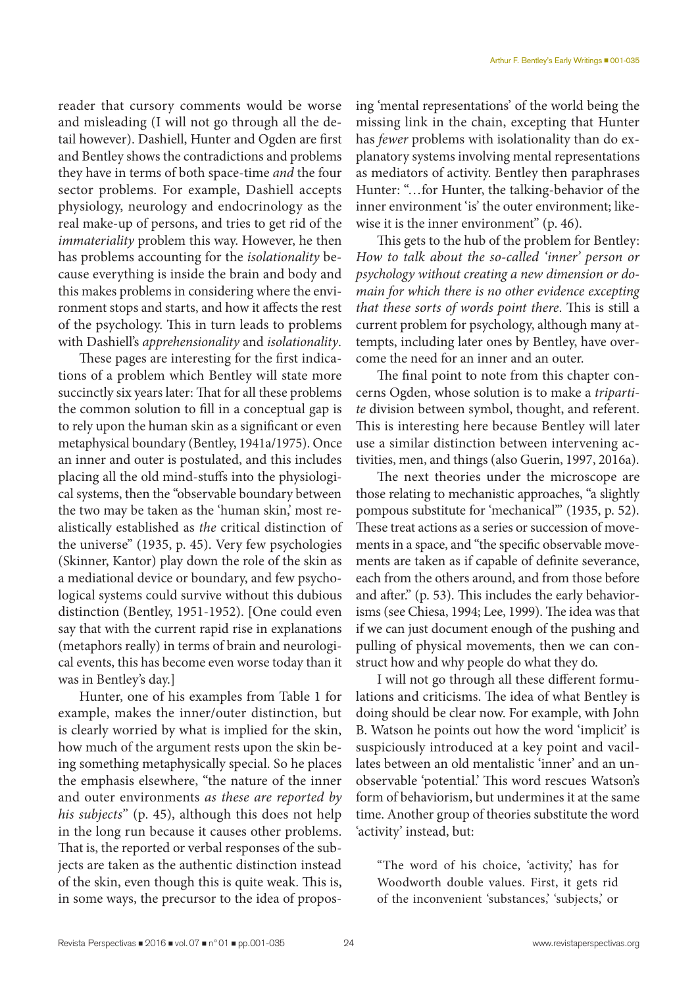reader that cursory comments would be worse and misleading (I will not go through all the detail however). Dashiell, Hunter and Ogden are first and Bentley shows the contradictions and problems they have in terms of both space-time *and* the four sector problems. For example, Dashiell accepts physiology, neurology and endocrinology as the real make-up of persons, and tries to get rid of the *immateriality* problem this way. However, he then has problems accounting for the *isolationality* because everything is inside the brain and body and this makes problems in considering where the environment stops and starts, and how it affects the rest of the psychology. This in turn leads to problems with Dashiell's *apprehensionality* and *isolationality*.

These pages are interesting for the first indications of a problem which Bentley will state more succinctly six years later: That for all these problems the common solution to fill in a conceptual gap is to rely upon the human skin as a significant or even metaphysical boundary (Bentley, 1941a/1975). Once an inner and outer is postulated, and this includes placing all the old mind-stuffs into the physiological systems, then the "observable boundary between the two may be taken as the 'human skin,' most realistically established as *the* critical distinction of the universe" (1935, p. 45). Very few psychologies (Skinner, Kantor) play down the role of the skin as a mediational device or boundary, and few psychological systems could survive without this dubious distinction (Bentley, 1951-1952). [One could even say that with the current rapid rise in explanations (metaphors really) in terms of brain and neurological events, this has become even worse today than it was in Bentley's day.]

Hunter, one of his examples from Table 1 for example, makes the inner/outer distinction, but is clearly worried by what is implied for the skin, how much of the argument rests upon the skin being something metaphysically special. So he places the emphasis elsewhere, "the nature of the inner and outer environments *as these are reported by his subjects*" (p. 45), although this does not help in the long run because it causes other problems. That is, the reported or verbal responses of the subjects are taken as the authentic distinction instead of the skin, even though this is quite weak. This is, in some ways, the precursor to the idea of proposing 'mental representations' of the world being the missing link in the chain, excepting that Hunter has *fewer* problems with isolationality than do explanatory systems involving mental representations as mediators of activity. Bentley then paraphrases Hunter: "…for Hunter, the talking-behavior of the inner environment 'is' the outer environment; likewise it is the inner environment" (p. 46).

This gets to the hub of the problem for Bentley: *How to talk about the so-called 'inner' person or psychology without creating a new dimension or domain for which there is no other evidence excepting that these sorts of words point there*. This is still a current problem for psychology, although many attempts, including later ones by Bentley, have overcome the need for an inner and an outer.

The final point to note from this chapter concerns Ogden, whose solution is to make a *tripartite* division between symbol, thought, and referent. This is interesting here because Bentley will later use a similar distinction between intervening activities, men, and things (also Guerin, 1997, 2016a).

The next theories under the microscope are those relating to mechanistic approaches, "a slightly pompous substitute for 'mechanical'" (1935, p. 52). These treat actions as a series or succession of movements in a space, and "the specific observable movements are taken as if capable of definite severance, each from the others around, and from those before and after." (p. 53). This includes the early behaviorisms (see Chiesa, 1994; Lee, 1999). The idea was that if we can just document enough of the pushing and pulling of physical movements, then we can construct how and why people do what they do.

I will not go through all these different formulations and criticisms. The idea of what Bentley is doing should be clear now. For example, with John B. Watson he points out how the word 'implicit' is suspiciously introduced at a key point and vacillates between an old mentalistic 'inner' and an unobservable 'potential.' This word rescues Watson's form of behaviorism, but undermines it at the same time. Another group of theories substitute the word 'activity' instead, but:

"The word of his choice, 'activity,' has for Woodworth double values. First, it gets rid of the inconvenient 'substances,' 'subjects,' or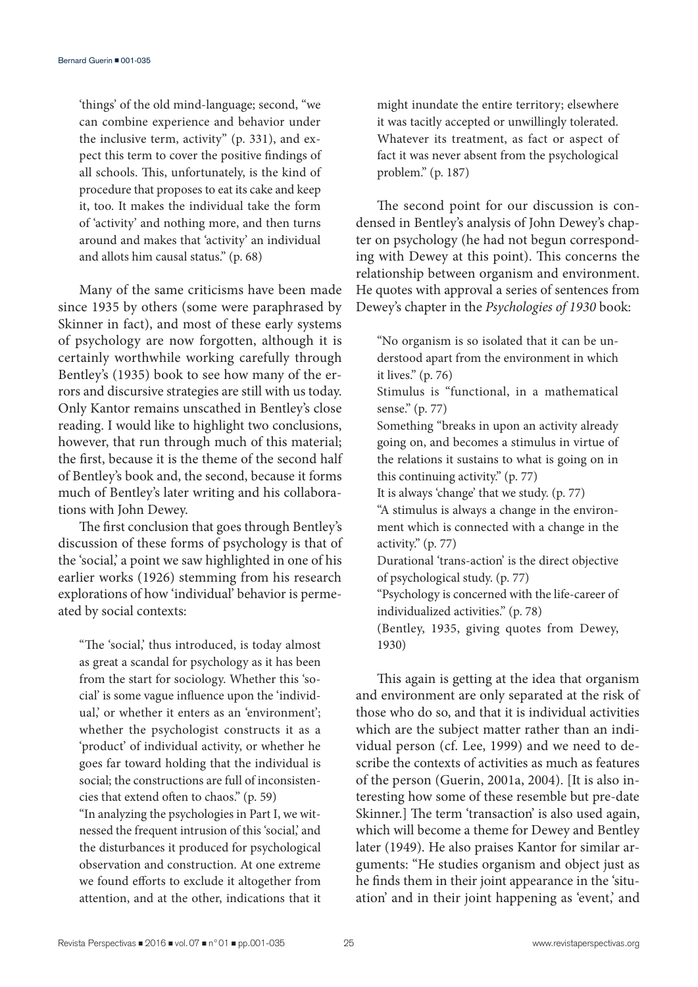'things' of the old mind-language; second, "we can combine experience and behavior under the inclusive term, activity" (p. 331), and expect this term to cover the positive findings of all schools. This, unfortunately, is the kind of procedure that proposes to eat its cake and keep it, too. It makes the individual take the form of 'activity' and nothing more, and then turns around and makes that 'activity' an individual and allots him causal status." (p. 68)

Many of the same criticisms have been made since 1935 by others (some were paraphrased by Skinner in fact), and most of these early systems of psychology are now forgotten, although it is certainly worthwhile working carefully through Bentley's (1935) book to see how many of the errors and discursive strategies are still with us today. Only Kantor remains unscathed in Bentley's close reading. I would like to highlight two conclusions, however, that run through much of this material; the first, because it is the theme of the second half of Bentley's book and, the second, because it forms much of Bentley's later writing and his collaborations with John Dewey.

The first conclusion that goes through Bentley's discussion of these forms of psychology is that of the 'social,' a point we saw highlighted in one of his earlier works (1926) stemming from his research explorations of how 'individual' behavior is permeated by social contexts:

"The 'social,' thus introduced, is today almost as great a scandal for psychology as it has been from the start for sociology. Whether this 'social' is some vague influence upon the 'individual,' or whether it enters as an 'environment'; whether the psychologist constructs it as a 'product' of individual activity, or whether he goes far toward holding that the individual is social; the constructions are full of inconsistencies that extend often to chaos." (p. 59)

"In analyzing the psychologies in Part I, we witnessed the frequent intrusion of this 'social,' and the disturbances it produced for psychological observation and construction. At one extreme we found efforts to exclude it altogether from attention, and at the other, indications that it might inundate the entire territory; elsewhere it was tacitly accepted or unwillingly tolerated. Whatever its treatment, as fact or aspect of fact it was never absent from the psychological problem." (p. 187)

The second point for our discussion is condensed in Bentley's analysis of John Dewey's chapter on psychology (he had not begun corresponding with Dewey at this point). This concerns the relationship between organism and environment. He quotes with approval a series of sentences from Dewey's chapter in the *Psychologies of 1930* book:

"No organism is so isolated that it can be understood apart from the environment in which it lives." (p. 76)

Stimulus is "functional, in a mathematical sense." (p. 77)

Something "breaks in upon an activity already going on, and becomes a stimulus in virtue of the relations it sustains to what is going on in this continuing activity." (p. 77)

It is always 'change' that we study. (p. 77)

"A stimulus is always a change in the environment which is connected with a change in the activity." (p. 77)

Durational 'trans-action' is the direct objective of psychological study. (p. 77)

"Psychology is concerned with the life-career of individualized activities." (p. 78)

(Bentley, 1935, giving quotes from Dewey, 1930)

This again is getting at the idea that organism and environment are only separated at the risk of those who do so, and that it is individual activities which are the subject matter rather than an individual person (cf. Lee, 1999) and we need to describe the contexts of activities as much as features of the person (Guerin, 2001a, 2004). [It is also interesting how some of these resemble but pre-date Skinner.] The term 'transaction' is also used again, which will become a theme for Dewey and Bentley later (1949). He also praises Kantor for similar arguments: "He studies organism and object just as he finds them in their joint appearance in the 'situation' and in their joint happening as 'event,' and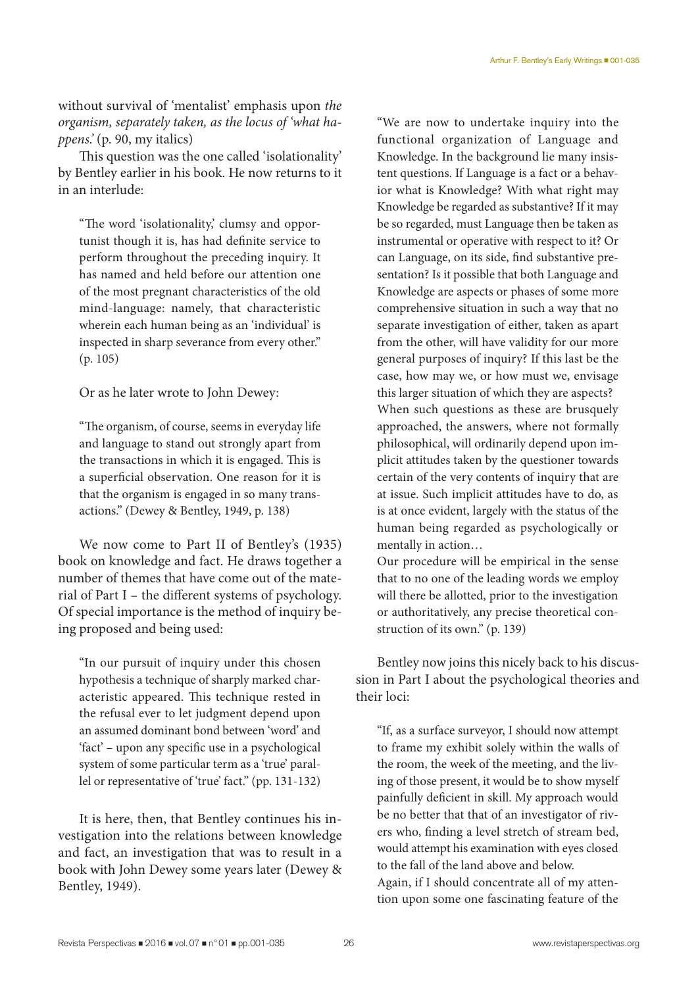without survival of 'mentalist' emphasis upon *the organism, separately taken, as the locus of 'what happens.'* (p. 90, my italics)

This question was the one called 'isolationality' by Bentley earlier in his book. He now returns to it in an interlude:

"The word 'isolationality,' clumsy and opportunist though it is, has had definite service to perform throughout the preceding inquiry. It has named and held before our attention one of the most pregnant characteristics of the old mind-language: namely, that characteristic wherein each human being as an 'individual' is inspected in sharp severance from every other." (p. 105)

Or as he later wrote to John Dewey:

"The organism, of course, seems in everyday life and language to stand out strongly apart from the transactions in which it is engaged. This is a superficial observation. One reason for it is that the organism is engaged in so many transactions." (Dewey & Bentley, 1949, p. 138)

We now come to Part II of Bentley's (1935) book on knowledge and fact. He draws together a number of themes that have come out of the material of Part I – the different systems of psychology. Of special importance is the method of inquiry being proposed and being used:

"In our pursuit of inquiry under this chosen hypothesis a technique of sharply marked characteristic appeared. This technique rested in the refusal ever to let judgment depend upon an assumed dominant bond between 'word' and 'fact' – upon any specific use in a psychological system of some particular term as a 'true' parallel or representative of 'true' fact." (pp. 131-132)

It is here, then, that Bentley continues his investigation into the relations between knowledge and fact, an investigation that was to result in a book with John Dewey some years later (Dewey & Bentley, 1949).

"We are now to undertake inquiry into the functional organization of Language and Knowledge. In the background lie many insistent questions. If Language is a fact or a behavior what is Knowledge? With what right may Knowledge be regarded as substantive? If it may be so regarded, must Language then be taken as instrumental or operative with respect to it? Or can Language, on its side, find substantive presentation? Is it possible that both Language and Knowledge are aspects or phases of some more comprehensive situation in such a way that no separate investigation of either, taken as apart from the other, will have validity for our more general purposes of inquiry? If this last be the case, how may we, or how must we, envisage this larger situation of which they are aspects? When such questions as these are brusquely approached, the answers, where not formally philosophical, will ordinarily depend upon implicit attitudes taken by the questioner towards certain of the very contents of inquiry that are at issue. Such implicit attitudes have to do, as is at once evident, largely with the status of the human being regarded as psychologically or mentally in action…

Our procedure will be empirical in the sense that to no one of the leading words we employ will there be allotted, prior to the investigation or authoritatively, any precise theoretical construction of its own." (p. 139)

Bentley now joins this nicely back to his discussion in Part I about the psychological theories and their loci:

"If, as a surface surveyor, I should now attempt to frame my exhibit solely within the walls of the room, the week of the meeting, and the living of those present, it would be to show myself painfully deficient in skill. My approach would be no better that that of an investigator of rivers who, finding a level stretch of stream bed, would attempt his examination with eyes closed to the fall of the land above and below. Again, if I should concentrate all of my attention upon some one fascinating feature of the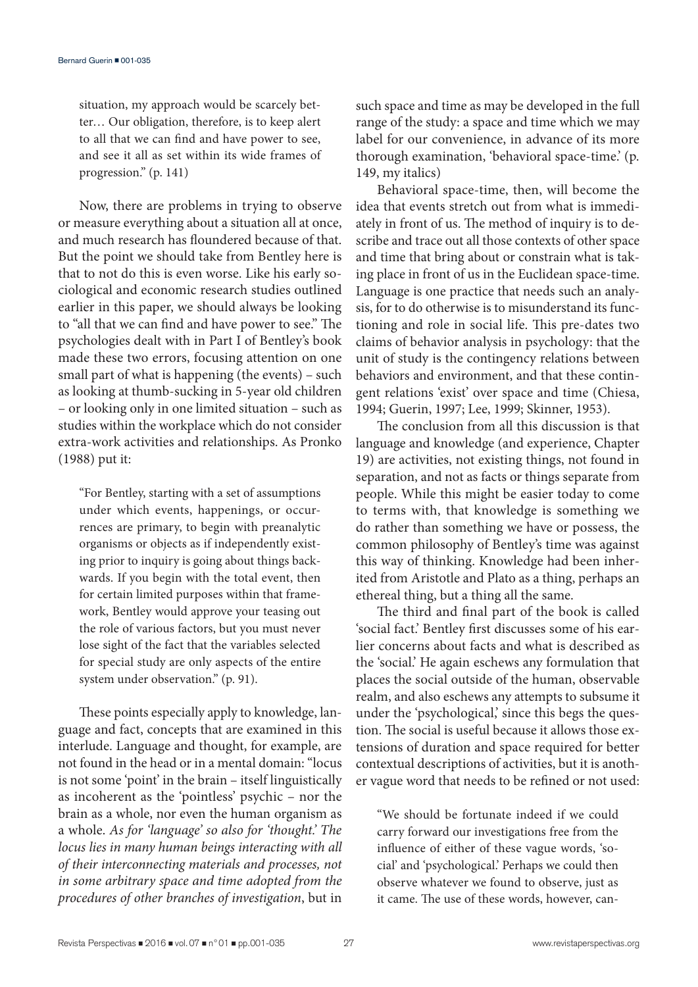situation, my approach would be scarcely better… Our obligation, therefore, is to keep alert to all that we can find and have power to see, and see it all as set within its wide frames of progression." (p. 141)

Now, there are problems in trying to observe or measure everything about a situation all at once, and much research has floundered because of that. But the point we should take from Bentley here is that to not do this is even worse. Like his early sociological and economic research studies outlined earlier in this paper, we should always be looking to "all that we can find and have power to see." The psychologies dealt with in Part I of Bentley's book made these two errors, focusing attention on one small part of what is happening (the events) – such as looking at thumb-sucking in 5-year old children – or looking only in one limited situation – such as studies within the workplace which do not consider extra-work activities and relationships. As Pronko (1988) put it:

"For Bentley, starting with a set of assumptions under which events, happenings, or occurrences are primary, to begin with preanalytic organisms or objects as if independently existing prior to inquiry is going about things backwards. If you begin with the total event, then for certain limited purposes within that framework, Bentley would approve your teasing out the role of various factors, but you must never lose sight of the fact that the variables selected for special study are only aspects of the entire system under observation." (p. 91).

These points especially apply to knowledge, language and fact, concepts that are examined in this interlude. Language and thought, for example, are not found in the head or in a mental domain: "locus is not some 'point' in the brain – itself linguistically as incoherent as the 'pointless' psychic – nor the brain as a whole, nor even the human organism as a whole. *As for 'language' so also for 'thought.' The locus lies in many human beings interacting with all of their interconnecting materials and processes, not in some arbitrary space and time adopted from the procedures of other branches of investigation*, but in such space and time as may be developed in the full range of the study: a space and time which we may label for our convenience, in advance of its more thorough examination, 'behavioral space-time.' (p. 149, my italics)

Behavioral space-time, then, will become the idea that events stretch out from what is immediately in front of us. The method of inquiry is to describe and trace out all those contexts of other space and time that bring about or constrain what is taking place in front of us in the Euclidean space-time. Language is one practice that needs such an analysis, for to do otherwise is to misunderstand its functioning and role in social life. This pre-dates two claims of behavior analysis in psychology: that the unit of study is the contingency relations between behaviors and environment, and that these contingent relations 'exist' over space and time (Chiesa, 1994; Guerin, 1997; Lee, 1999; Skinner, 1953).

The conclusion from all this discussion is that language and knowledge (and experience, Chapter 19) are activities, not existing things, not found in separation, and not as facts or things separate from people. While this might be easier today to come to terms with, that knowledge is something we do rather than something we have or possess, the common philosophy of Bentley's time was against this way of thinking. Knowledge had been inherited from Aristotle and Plato as a thing, perhaps an ethereal thing, but a thing all the same.

The third and final part of the book is called 'social fact.' Bentley first discusses some of his earlier concerns about facts and what is described as the 'social.' He again eschews any formulation that places the social outside of the human, observable realm, and also eschews any attempts to subsume it under the 'psychological,' since this begs the question. The social is useful because it allows those extensions of duration and space required for better contextual descriptions of activities, but it is another vague word that needs to be refined or not used:

"We should be fortunate indeed if we could carry forward our investigations free from the influence of either of these vague words, 'social' and 'psychological.' Perhaps we could then observe whatever we found to observe, just as it came. The use of these words, however, can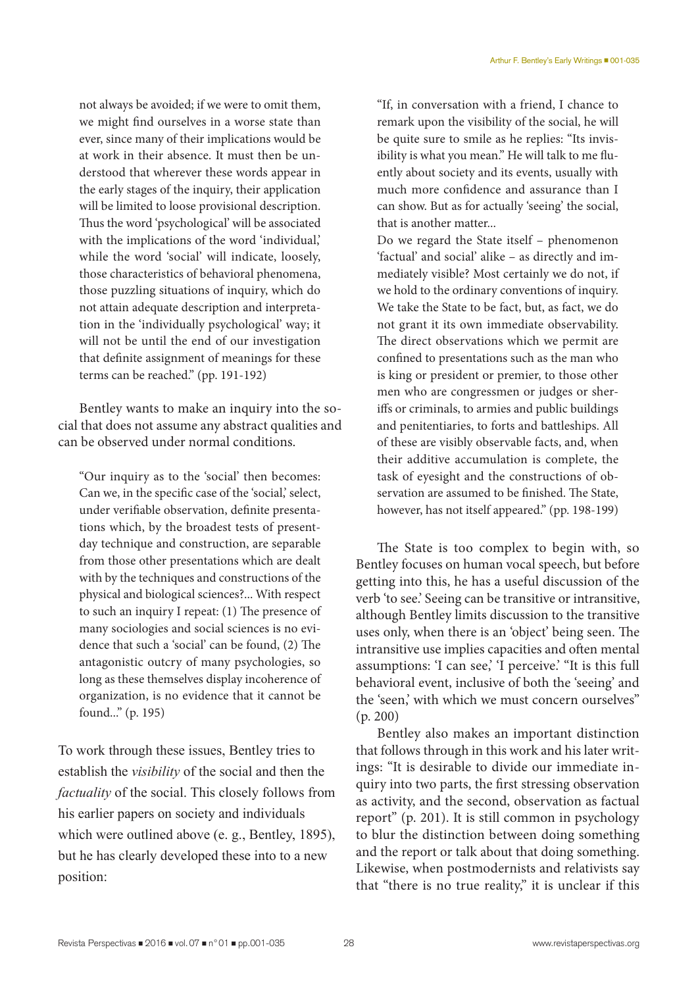not always be avoided; if we were to omit them, we might find ourselves in a worse state than ever, since many of their implications would be at work in their absence. It must then be understood that wherever these words appear in the early stages of the inquiry, their application will be limited to loose provisional description. Thus the word 'psychological' will be associated with the implications of the word 'individual,' while the word 'social' will indicate, loosely, those characteristics of behavioral phenomena, those puzzling situations of inquiry, which do not attain adequate description and interpretation in the 'individually psychological' way; it will not be until the end of our investigation that definite assignment of meanings for these terms can be reached." (pp. 191-192)

Bentley wants to make an inquiry into the social that does not assume any abstract qualities and can be observed under normal conditions.

"Our inquiry as to the 'social' then becomes: Can we, in the specific case of the 'social,' select, under verifiable observation, definite presentations which, by the broadest tests of presentday technique and construction, are separable from those other presentations which are dealt with by the techniques and constructions of the physical and biological sciences?... With respect to such an inquiry I repeat: (1) The presence of many sociologies and social sciences is no evidence that such a 'social' can be found, (2) The antagonistic outcry of many psychologies, so long as these themselves display incoherence of organization, is no evidence that it cannot be found..." (p. 195)

To work through these issues, Bentley tries to establish the *visibility* of the social and then the *factuality* of the social. This closely follows from his earlier papers on society and individuals which were outlined above (e. g., Bentley, 1895), but he has clearly developed these into to a new position:

"If, in conversation with a friend, I chance to remark upon the visibility of the social, he will be quite sure to smile as he replies: "Its invisibility is what you mean." He will talk to me fluently about society and its events, usually with much more confidence and assurance than I can show. But as for actually 'seeing' the social, that is another matter...

Do we regard the State itself – phenomenon 'factual' and social' alike – as directly and immediately visible? Most certainly we do not, if we hold to the ordinary conventions of inquiry. We take the State to be fact, but, as fact, we do not grant it its own immediate observability. The direct observations which we permit are confined to presentations such as the man who is king or president or premier, to those other men who are congressmen or judges or sheriffs or criminals, to armies and public buildings and penitentiaries, to forts and battleships. All of these are visibly observable facts, and, when their additive accumulation is complete, the task of eyesight and the constructions of observation are assumed to be finished. The State, however, has not itself appeared." (pp. 198-199)

The State is too complex to begin with, so Bentley focuses on human vocal speech, but before getting into this, he has a useful discussion of the verb 'to see.' Seeing can be transitive or intransitive, although Bentley limits discussion to the transitive uses only, when there is an 'object' being seen. The intransitive use implies capacities and often mental assumptions: 'I can see,' 'I perceive.' "It is this full behavioral event, inclusive of both the 'seeing' and the 'seen,' with which we must concern ourselves" (p. 200)

Bentley also makes an important distinction that follows through in this work and his later writings: "It is desirable to divide our immediate inquiry into two parts, the first stressing observation as activity, and the second, observation as factual report" (p. 201). It is still common in psychology to blur the distinction between doing something and the report or talk about that doing something. Likewise, when postmodernists and relativists say that "there is no true reality," it is unclear if this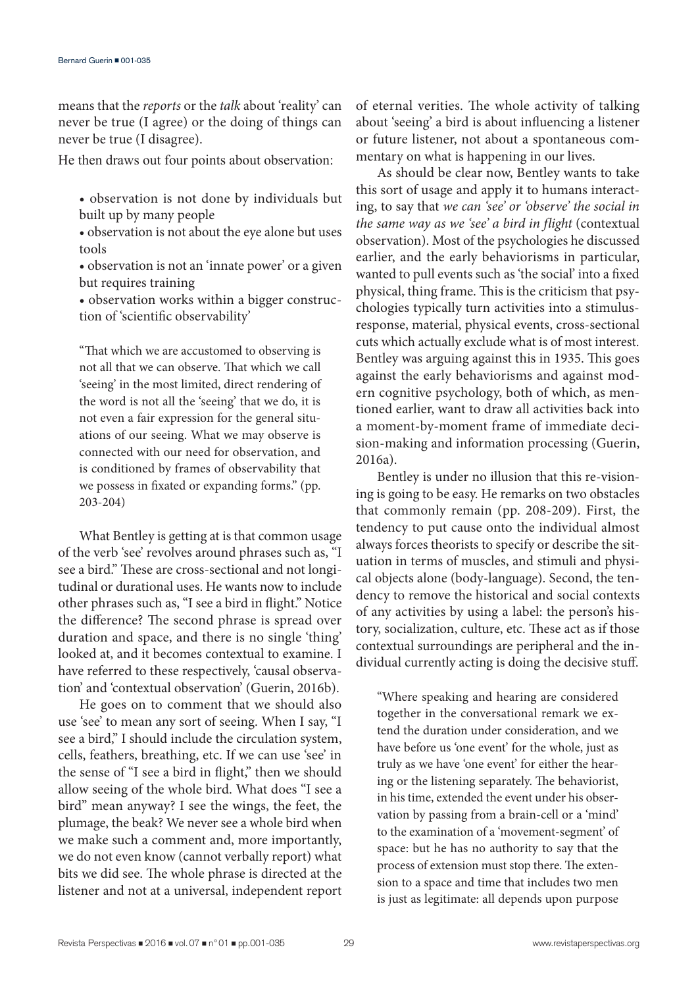means that the *reports* or the *talk* about 'reality' can never be true (I agree) or the doing of things can never be true (I disagree).

He then draws out four points about observation:

• observation is not done by individuals but built up by many people

• observation is not about the eye alone but uses tools

• observation is not an 'innate power' or a given but requires training

• observation works within a bigger construction of 'scientific observability'

"That which we are accustomed to observing is not all that we can observe. That which we call 'seeing' in the most limited, direct rendering of the word is not all the 'seeing' that we do, it is not even a fair expression for the general situations of our seeing. What we may observe is connected with our need for observation, and is conditioned by frames of observability that we possess in fixated or expanding forms." (pp. 203-204)

What Bentley is getting at is that common usage of the verb 'see' revolves around phrases such as, "I see a bird." These are cross-sectional and not longitudinal or durational uses. He wants now to include other phrases such as, "I see a bird in flight." Notice the difference? The second phrase is spread over duration and space, and there is no single 'thing' looked at, and it becomes contextual to examine. I have referred to these respectively, 'causal observation' and 'contextual observation' (Guerin, 2016b).

He goes on to comment that we should also use 'see' to mean any sort of seeing. When I say, "I see a bird," I should include the circulation system, cells, feathers, breathing, etc. If we can use 'see' in the sense of "I see a bird in flight," then we should allow seeing of the whole bird. What does "I see a bird" mean anyway? I see the wings, the feet, the plumage, the beak? We never see a whole bird when we make such a comment and, more importantly, we do not even know (cannot verbally report) what bits we did see. The whole phrase is directed at the listener and not at a universal, independent report of eternal verities. The whole activity of talking about 'seeing' a bird is about influencing a listener or future listener, not about a spontaneous commentary on what is happening in our lives.

As should be clear now, Bentley wants to take this sort of usage and apply it to humans interacting, to say that *we can 'see' or 'observe' the social in the same way as we 'see' a bird in flight* (contextual observation). Most of the psychologies he discussed earlier, and the early behaviorisms in particular, wanted to pull events such as 'the social' into a fixed physical, thing frame. This is the criticism that psychologies typically turn activities into a stimulusresponse, material, physical events, cross-sectional cuts which actually exclude what is of most interest. Bentley was arguing against this in 1935. This goes against the early behaviorisms and against modern cognitive psychology, both of which, as mentioned earlier, want to draw all activities back into a moment-by-moment frame of immediate decision-making and information processing (Guerin, 2016a).

Bentley is under no illusion that this re-visioning is going to be easy. He remarks on two obstacles that commonly remain (pp. 208-209). First, the tendency to put cause onto the individual almost always forces theorists to specify or describe the situation in terms of muscles, and stimuli and physical objects alone (body-language). Second, the tendency to remove the historical and social contexts of any activities by using a label: the person's history, socialization, culture, etc. These act as if those contextual surroundings are peripheral and the individual currently acting is doing the decisive stuff.

"Where speaking and hearing are considered together in the conversational remark we extend the duration under consideration, and we have before us 'one event' for the whole, just as truly as we have 'one event' for either the hearing or the listening separately. The behaviorist, in his time, extended the event under his observation by passing from a brain-cell or a 'mind' to the examination of a 'movement-segment' of space: but he has no authority to say that the process of extension must stop there. The extension to a space and time that includes two men is just as legitimate: all depends upon purpose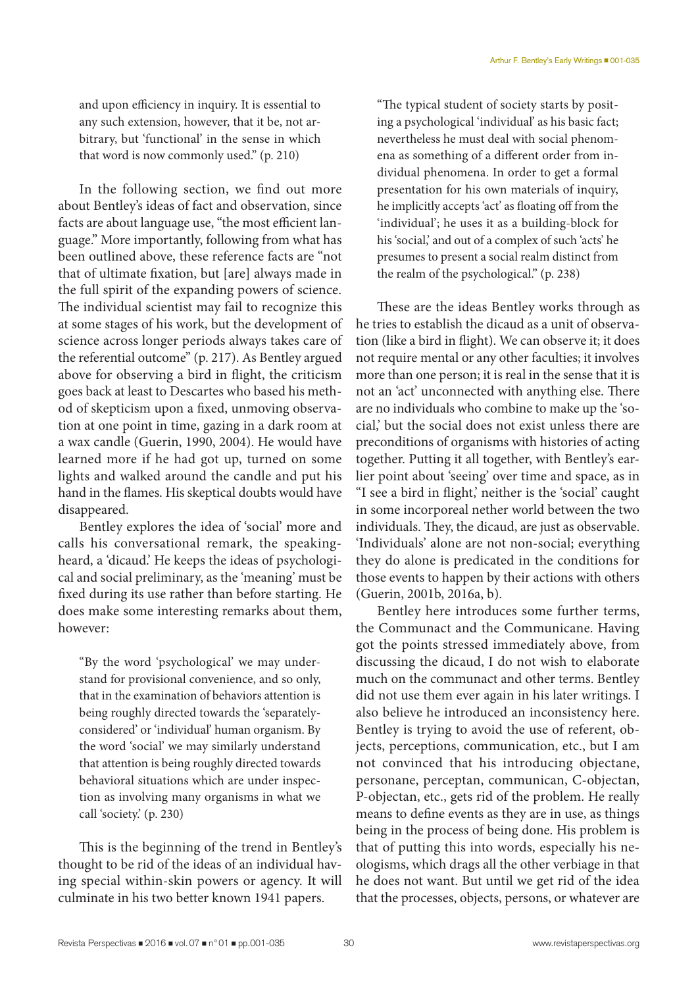and upon efficiency in inquiry. It is essential to any such extension, however, that it be, not arbitrary, but 'functional' in the sense in which that word is now commonly used." (p. 210)

In the following section, we find out more about Bentley's ideas of fact and observation, since facts are about language use, "the most efficient language." More importantly, following from what has been outlined above, these reference facts are "not that of ultimate fixation, but [are] always made in the full spirit of the expanding powers of science. The individual scientist may fail to recognize this at some stages of his work, but the development of science across longer periods always takes care of the referential outcome" (p. 217). As Bentley argued above for observing a bird in flight, the criticism goes back at least to Descartes who based his method of skepticism upon a fixed, unmoving observation at one point in time, gazing in a dark room at a wax candle (Guerin, 1990, 2004). He would have learned more if he had got up, turned on some lights and walked around the candle and put his hand in the flames. His skeptical doubts would have disappeared.

Bentley explores the idea of 'social' more and calls his conversational remark, the speakingheard, a 'dicaud.' He keeps the ideas of psychological and social preliminary, as the 'meaning' must be fixed during its use rather than before starting. He does make some interesting remarks about them, however:

"By the word 'psychological' we may understand for provisional convenience, and so only, that in the examination of behaviors attention is being roughly directed towards the 'separatelyconsidered' or 'individual' human organism. By the word 'social' we may similarly understand that attention is being roughly directed towards behavioral situations which are under inspection as involving many organisms in what we call 'society.' (p. 230)

This is the beginning of the trend in Bentley's thought to be rid of the ideas of an individual having special within-skin powers or agency. It will culminate in his two better known 1941 papers.

"The typical student of society starts by positing a psychological 'individual' as his basic fact; nevertheless he must deal with social phenomena as something of a different order from individual phenomena. In order to get a formal presentation for his own materials of inquiry, he implicitly accepts 'act' as floating off from the 'individual'; he uses it as a building-block for his 'social,' and out of a complex of such 'acts' he presumes to present a social realm distinct from the realm of the psychological." (p. 238)

These are the ideas Bentley works through as he tries to establish the dicaud as a unit of observation (like a bird in flight). We can observe it; it does not require mental or any other faculties; it involves more than one person; it is real in the sense that it is not an 'act' unconnected with anything else. There are no individuals who combine to make up the 'social,' but the social does not exist unless there are preconditions of organisms with histories of acting together. Putting it all together, with Bentley's earlier point about 'seeing' over time and space, as in "I see a bird in flight,' neither is the 'social' caught in some incorporeal nether world between the two individuals. They, the dicaud, are just as observable. 'Individuals' alone are not non-social; everything they do alone is predicated in the conditions for those events to happen by their actions with others (Guerin, 2001b, 2016a, b).

Bentley here introduces some further terms, the Communact and the Communicane. Having got the points stressed immediately above, from discussing the dicaud, I do not wish to elaborate much on the communact and other terms. Bentley did not use them ever again in his later writings. I also believe he introduced an inconsistency here. Bentley is trying to avoid the use of referent, objects, perceptions, communication, etc., but I am not convinced that his introducing objectane, personane, perceptan, communican, C-objectan, P-objectan, etc., gets rid of the problem. He really means to define events as they are in use, as things being in the process of being done. His problem is that of putting this into words, especially his neologisms, which drags all the other verbiage in that he does not want. But until we get rid of the idea that the processes, objects, persons, or whatever are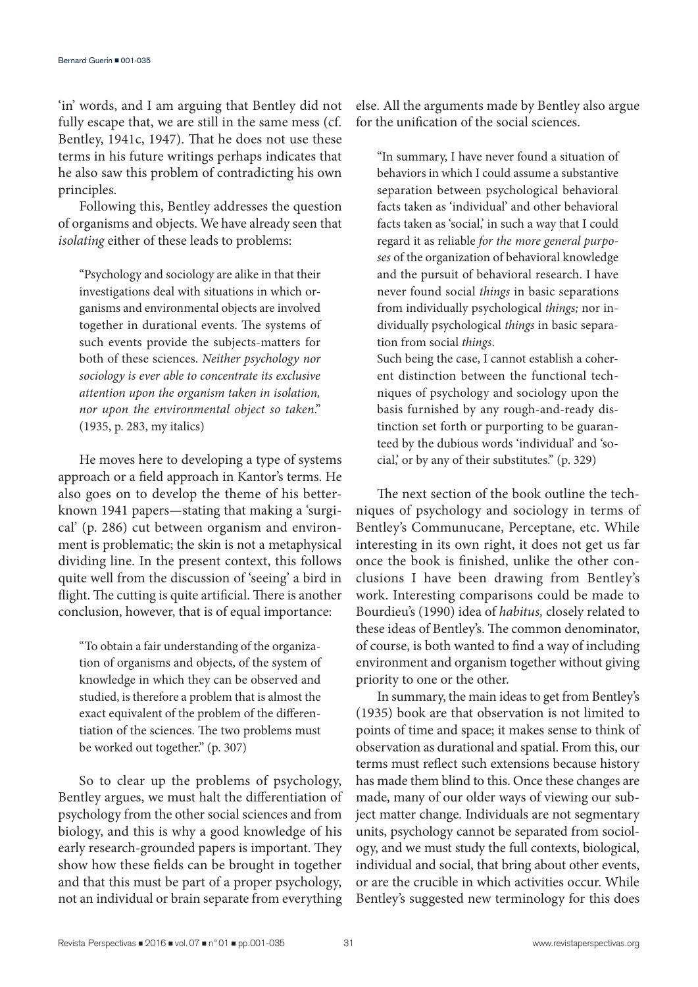'in' words, and I am arguing that Bentley did not fully escape that, we are still in the same mess (cf. Bentley, 1941c, 1947). That he does not use these terms in his future writings perhaps indicates that he also saw this problem of contradicting his own principles.

Following this, Bentley addresses the question of organisms and objects. We have already seen that *isolating* either of these leads to problems:

"Psychology and sociology are alike in that their investigations deal with situations in which organisms and environmental objects are involved together in durational events. The systems of such events provide the subjects-matters for both of these sciences. *Neither psychology nor sociology is ever able to concentrate its exclusive attention upon the organism taken in isolation, nor upon the environmental object so taken*." (1935, p. 283, my italics)

He moves here to developing a type of systems approach or a field approach in Kantor's terms. He also goes on to develop the theme of his betterknown 1941 papers—stating that making a 'surgical' (p. 286) cut between organism and environment is problematic; the skin is not a metaphysical dividing line. In the present context, this follows quite well from the discussion of 'seeing' a bird in flight. The cutting is quite artificial. There is another conclusion, however, that is of equal importance:

"To obtain a fair understanding of the organization of organisms and objects, of the system of knowledge in which they can be observed and studied, is therefore a problem that is almost the exact equivalent of the problem of the differentiation of the sciences. The two problems must be worked out together." (p. 307)

So to clear up the problems of psychology, Bentley argues, we must halt the differentiation of psychology from the other social sciences and from biology, and this is why a good knowledge of his early research-grounded papers is important. They show how these fields can be brought in together and that this must be part of a proper psychology, not an individual or brain separate from everything else. All the arguments made by Bentley also argue for the unification of the social sciences.

"In summary, I have never found a situation of behaviors in which I could assume a substantive separation between psychological behavioral facts taken as 'individual' and other behavioral facts taken as 'social,' in such a way that I could regard it as reliable *for the more general purposes* of the organization of behavioral knowledge and the pursuit of behavioral research. I have never found social *things* in basic separations from individually psychological *things;* nor individually psychological *things* in basic separation from social *things*.

Such being the case, I cannot establish a coherent distinction between the functional techniques of psychology and sociology upon the basis furnished by any rough-and-ready distinction set forth or purporting to be guaranteed by the dubious words 'individual' and 'social,' or by any of their substitutes." (p. 329)

The next section of the book outline the techniques of psychology and sociology in terms of Bentley's Communucane, Perceptane, etc. While interesting in its own right, it does not get us far once the book is finished, unlike the other conclusions I have been drawing from Bentley's work. Interesting comparisons could be made to Bourdieu's (1990) idea of *habitus,* closely related to these ideas of Bentley's. The common denominator, of course, is both wanted to find a way of including environment and organism together without giving priority to one or the other.

In summary, the main ideas to get from Bentley's (1935) book are that observation is not limited to points of time and space; it makes sense to think of observation as durational and spatial. From this, our terms must reflect such extensions because history has made them blind to this. Once these changes are made, many of our older ways of viewing our subject matter change. Individuals are not segmentary units, psychology cannot be separated from sociology, and we must study the full contexts, biological, individual and social, that bring about other events, or are the crucible in which activities occur. While Bentley's suggested new terminology for this does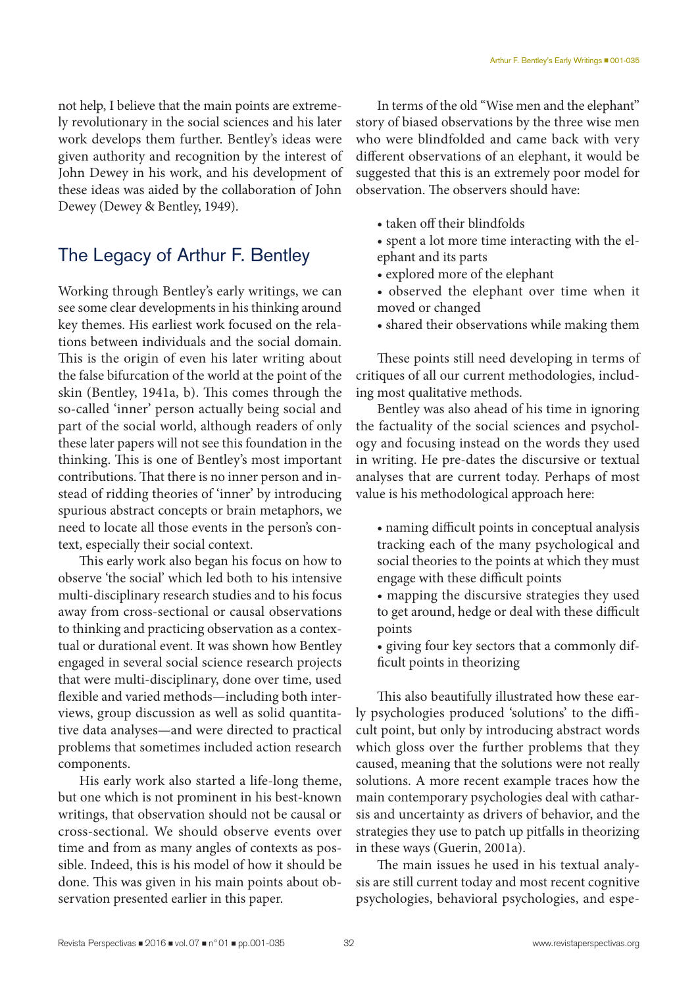not help, I believe that the main points are extremely revolutionary in the social sciences and his later work develops them further. Bentley's ideas were given authority and recognition by the interest of John Dewey in his work, and his development of these ideas was aided by the collaboration of John Dewey (Dewey & Bentley, 1949).

# The Legacy of Arthur F. Bentley

Working through Bentley's early writings, we can see some clear developments in his thinking around key themes. His earliest work focused on the relations between individuals and the social domain. This is the origin of even his later writing about the false bifurcation of the world at the point of the skin (Bentley, 1941a, b). This comes through the so-called 'inner' person actually being social and part of the social world, although readers of only these later papers will not see this foundation in the thinking. This is one of Bentley's most important contributions. That there is no inner person and instead of ridding theories of 'inner' by introducing spurious abstract concepts or brain metaphors, we need to locate all those events in the person's context, especially their social context.

This early work also began his focus on how to observe 'the social' which led both to his intensive multi-disciplinary research studies and to his focus away from cross-sectional or causal observations to thinking and practicing observation as a contextual or durational event. It was shown how Bentley engaged in several social science research projects that were multi-disciplinary, done over time, used flexible and varied methods—including both interviews, group discussion as well as solid quantitative data analyses—and were directed to practical problems that sometimes included action research components.

His early work also started a life-long theme, but one which is not prominent in his best-known writings, that observation should not be causal or cross-sectional. We should observe events over time and from as many angles of contexts as possible. Indeed, this is his model of how it should be done. This was given in his main points about observation presented earlier in this paper.

In terms of the old "Wise men and the elephant" story of biased observations by the three wise men who were blindfolded and came back with very different observations of an elephant, it would be suggested that this is an extremely poor model for observation. The observers should have:

- taken off their blindfolds
- spent a lot more time interacting with the elephant and its parts
- explored more of the elephant
- observed the elephant over time when it moved or changed
- shared their observations while making them

These points still need developing in terms of critiques of all our current methodologies, including most qualitative methods.

Bentley was also ahead of his time in ignoring the factuality of the social sciences and psychology and focusing instead on the words they used in writing. He pre-dates the discursive or textual analyses that are current today. Perhaps of most value is his methodological approach here:

- naming difficult points in conceptual analysis tracking each of the many psychological and social theories to the points at which they must engage with these difficult points
- mapping the discursive strategies they used to get around, hedge or deal with these difficult points
- giving four key sectors that a commonly difficult points in theorizing

This also beautifully illustrated how these early psychologies produced 'solutions' to the difficult point, but only by introducing abstract words which gloss over the further problems that they caused, meaning that the solutions were not really solutions. A more recent example traces how the main contemporary psychologies deal with catharsis and uncertainty as drivers of behavior, and the strategies they use to patch up pitfalls in theorizing in these ways (Guerin, 2001a).

The main issues he used in his textual analysis are still current today and most recent cognitive psychologies, behavioral psychologies, and espe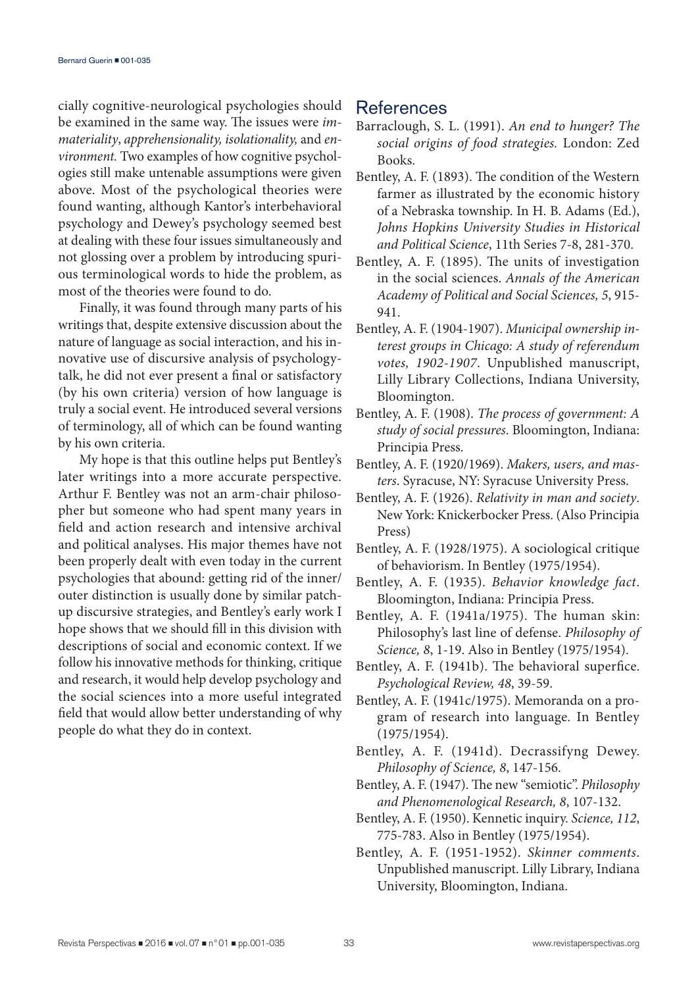cially cognitive-neurological psychologies should be examined in the same way. The issues were *immateriality*, *apprehensionality, isolationality,* and *environment.* Two examples of how cognitive psychologies still make untenable assumptions were given above. Most of the psychological theories were found wanting, although Kantor's interbehavioral psychology and Dewey's psychology seemed best at dealing with these four issues simultaneously and not glossing over a problem by introducing spurious terminological words to hide the problem, as most of the theories were found to do.

Finally, it was found through many parts of his writings that, despite extensive discussion about the nature of language as social interaction, and his innovative use of discursive analysis of psychologytalk, he did not ever present a final or satisfactory (by his own criteria) version of how language is truly a social event. He introduced several versions of terminology, all of which can be found wanting by his own criteria.

My hope is that this outline helps put Bentley's later writings into a more accurate perspective. Arthur F. Bentley was not an arm-chair philosopher but someone who had spent many years in field and action research and intensive archival and political analyses. His major themes have not been properly dealt with even today in the current psychologies that abound: getting rid of the inner/ outer distinction is usually done by similar patchup discursive strategies, and Bentley's early work I hope shows that we should fill in this division with descriptions of social and economic context. If we follow his innovative methods for thinking, critique and research, it would help develop psychology and the social sciences into a more useful integrated field that would allow better understanding of why people do what they do in context.

## References

- Barraclough, S. L. (1991). *An end to hunger? The social origins of food strategies.* London: Zed Books.
- Bentley, A. F. (1893). The condition of the Western farmer as illustrated by the economic history of a Nebraska township. In H. B. Adams (Ed.), *Johns Hopkins University Studies in Historical and Political Science*, 11th Series 7-8, 281-370.
- Bentley, A. F. (1895). The units of investigation in the social sciences. *Annals of the American Academy of Political and Social Sciences, 5*, 915- 941.
- Bentley, A. F. (1904-1907). *Municipal ownership interest groups in Chicago: A study of referendum votes, 1902-1907*. Unpublished manuscript, Lilly Library Collections, Indiana University, Bloomington.
- Bentley, A. F. (1908). *The process of government: A study of social pressures*. Bloomington, Indiana: Principia Press.
- Bentley, A. F. (1920/1969). *Makers, users, and masters*. Syracuse, NY: Syracuse University Press.
- Bentley, A. F. (1926). *Relativity in man and society*. New York: Knickerbocker Press. (Also Principia Press)
- Bentley, A. F. (1928/1975). A sociological critique of behaviorism. In Bentley (1975/1954).
- Bentley, A. F. (1935). *Behavior knowledge fact*. Bloomington, Indiana: Principia Press.
- Bentley, A. F. (1941a/1975). The human skin: Philosophy's last line of defense. *Philosophy of Science, 8*, 1-19. Also in Bentley (1975/1954).
- Bentley, A. F. (1941b). The behavioral superfice. *Psychological Review, 48*, 39-59.
- Bentley, A. F. (1941c/1975). Memoranda on a program of research into language. In Bentley (1975/1954).
- Bentley, A. F. (1941d). Decrassifyng Dewey. *Philosophy of Science, 8*, 147-156.
- Bentley, A. F. (1947). The new "semiotic". *Philosophy and Phenomenological Research, 8*, 107-132.
- Bentley, A. F. (1950). Kennetic inquiry. *Science, 112*, 775-783. Also in Bentley (1975/1954).
- Bentley, A. F. (1951-1952). *Skinner comments*. Unpublished manuscript. Lilly Library, Indiana University, Bloomington, Indiana.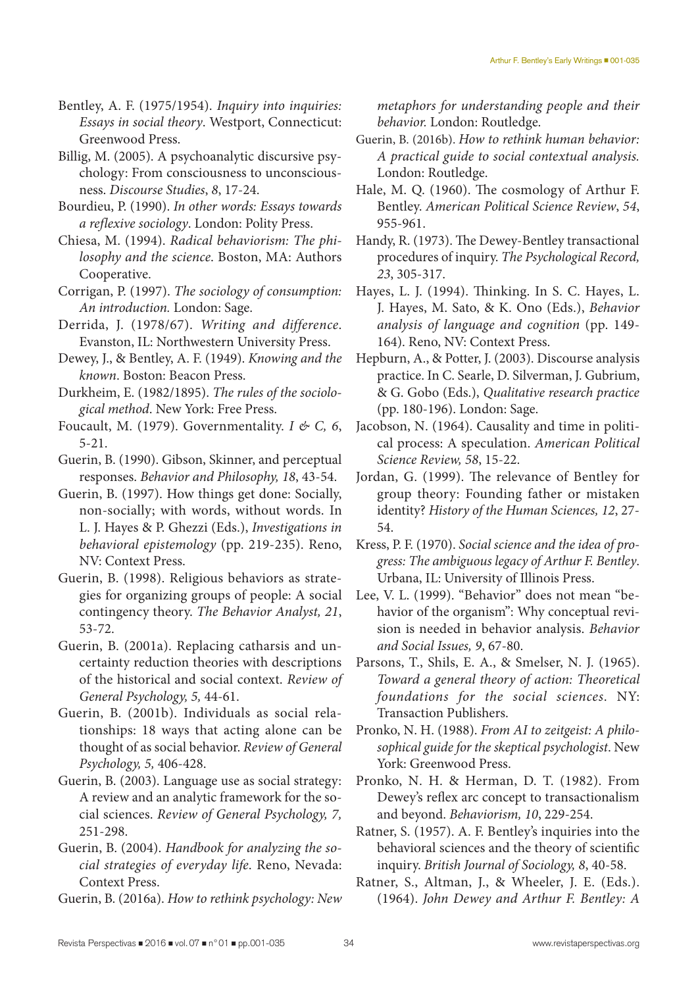Bentley, A. F. (1975/1954). *Inquiry into inquiries: Essays in social theory*. Westport, Connecticut: Greenwood Press.

Billig, M. (2005). A psychoanalytic discursive psychology: From consciousness to unconsciousness. *Discourse Studies*, *8*, 17-24.

- Bourdieu, P. (1990). *In other words: Essays towards a reflexive sociology*. London: Polity Press.
- Chiesa, M. (1994). *Radical behaviorism: The philosophy and the science*. Boston, MA: Authors Cooperative.

Corrigan, P. (1997). *The sociology of consumption: An introduction.* London: Sage.

- Derrida, J. (1978/67). *Writing and difference*. Evanston, IL: Northwestern University Press.
- Dewey, J., & Bentley, A. F. (1949). *Knowing and the known*. Boston: Beacon Press.
- Durkheim, E. (1982/1895). *The rules of the sociological method*. New York: Free Press.

Foucault, M. (1979). Governmentality. *I & C, 6*, 5-21.

Guerin, B. (1990). Gibson, Skinner, and perceptual responses. *Behavior and Philosophy, 18*, 43-54.

Guerin, B. (1997). How things get done: Socially, non-socially; with words, without words. In L. J. Hayes & P. Ghezzi (Eds.), *Investigations in behavioral epistemology* (pp. 219-235). Reno, NV: Context Press.

- Guerin, B. (1998). Religious behaviors as strategies for organizing groups of people: A social contingency theory. *The Behavior Analyst, 21*, 53-72.
- Guerin, B. (2001a). Replacing catharsis and uncertainty reduction theories with descriptions of the historical and social context. *Review of General Psychology, 5,* 44-61.

Guerin, B. (2001b). Individuals as social relationships: 18 ways that acting alone can be thought of as social behavior. *Review of General Psychology, 5,* 406-428.

Guerin, B. (2003). Language use as social strategy: A review and an analytic framework for the social sciences. *Review of General Psychology, 7,* 251-298.

Guerin, B. (2004). *Handbook for analyzing the social strategies of everyday life*. Reno, Nevada: Context Press.

Guerin, B. (2016a). *How to rethink psychology: New* 

*metaphors for understanding people and their behavior.* London: Routledge.

- Guerin, B. (2016b). *How to rethink human behavior: A practical guide to social contextual analysis.* London: Routledge.
- Hale, M. Q. (1960). The cosmology of Arthur F. Bentley. *American Political Science Review*, *54*, 955-961.
- Handy, R. (1973). The Dewey-Bentley transactional procedures of inquiry. *The Psychological Record, 23*, 305-317.

Hayes, L. J. (1994). Thinking. In S. C. Hayes, L. J. Hayes, M. Sato, & K. Ono (Eds.), *Behavior analysis of language and cognition* (pp. 149- 164). Reno, NV: Context Press.

- Hepburn, A., & Potter, J. (2003). Discourse analysis practice. In C. Searle, D. Silverman, J. Gubrium, & G. Gobo (Eds.), *Qualitative research practice*  (pp. 180-196). London: Sage.
- Jacobson, N. (1964). Causality and time in political process: A speculation. *American Political Science Review, 58*, 15-22.
- Jordan, G. (1999). The relevance of Bentley for group theory: Founding father or mistaken identity? *History of the Human Sciences, 12*, 27- 54.
- Kress, P. F. (1970). *Social science and the idea of progress: The ambiguous legacy of Arthur F. Bentley*. Urbana, IL: University of Illinois Press.
- Lee, V. L. (1999). "Behavior" does not mean "behavior of the organism": Why conceptual revision is needed in behavior analysis. *Behavior and Social Issues, 9*, 67-80.

Parsons, T., Shils, E. A., & Smelser, N. J. (1965). *Toward a general theory of action: Theoretical foundations for the social sciences*. NY: Transaction Publishers.

Pronko, N. H. (1988). *From AI to zeitgeist: A philosophical guide for the skeptical psychologist*. New York: Greenwood Press.

Pronko, N. H. & Herman, D. T. (1982). From Dewey's reflex arc concept to transactionalism and beyond. *Behaviorism, 10*, 229-254.

Ratner, S. (1957). A. F. Bentley's inquiries into the behavioral sciences and the theory of scientific inquiry. *British Journal of Sociology, 8*, 40-58.

Ratner, S., Altman, J., & Wheeler, J. E. (Eds.). (1964). *John Dewey and Arthur F. Bentley: A*